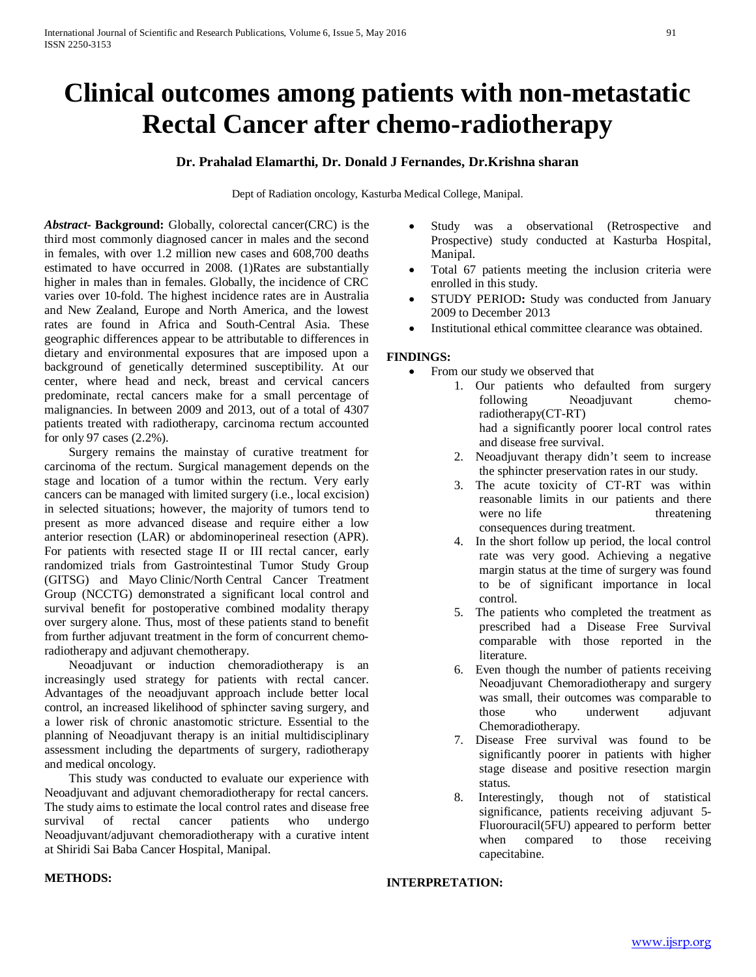# **Clinical outcomes among patients with non-metastatic Rectal Cancer after chemo-radiotherapy**

# **Dr. Prahalad Elamarthi, Dr. Donald J Fernandes, Dr.Krishna sharan**

Dept of Radiation oncology, Kasturba Medical College, Manipal.

*Abstract***- Background:** Globally, colorectal cancer(CRC) is the third most commonly diagnosed cancer in males and the second in females, with over 1.2 million new cases and 608,700 deaths estimated to have occurred in 2008. (1)Rates are substantially higher in males than in females. Globally, the incidence of CRC varies over 10-fold. The highest incidence rates are in Australia and New Zealand, Europe and North America, and the lowest rates are found in Africa and South-Central Asia. These geographic differences appear to be attributable to differences in dietary and environmental exposures that are imposed upon a background of genetically determined susceptibility. At our center, where head and neck, breast and cervical cancers predominate, rectal cancers make for a small percentage of malignancies. In between 2009 and 2013, out of a total of 4307 patients treated with radiotherapy, carcinoma rectum accounted for only 97 cases (2.2%).

 Surgery remains the mainstay of curative treatment for carcinoma of the rectum. Surgical management depends on the stage and location of a tumor within the rectum. Very early cancers can be managed with limited surgery (i.e., local excision) in selected situations; however, the majority of tumors tend to present as more advanced disease and require either a low anterior resection (LAR) or abdominoperineal resection (APR). For patients with resected stage II or III rectal cancer, early randomized trials from Gastrointestinal Tumor Study Group (GITSG) and Mayo Clinic/North Central Cancer Treatment Group (NCCTG) demonstrated a significant local control and survival benefit for postoperative combined modality therapy over surgery alone. Thus, most of these patients stand to benefit from further adjuvant treatment in the form of concurrent chemoradiotherapy and adjuvant chemotherapy.

 Neoadjuvant or induction chemoradiotherapy is an increasingly used strategy for patients with rectal cancer. Advantages of the neoadjuvant approach include better local control, an increased likelihood of sphincter saving surgery, and a lower risk of chronic anastomotic stricture. Essential to the planning of Neoadjuvant therapy is an initial multidisciplinary assessment including the departments of surgery, radiotherapy and medical oncology.

 This study was conducted to evaluate our experience with Neoadjuvant and adjuvant chemoradiotherapy for rectal cancers. The study aims to estimate the local control rates and disease free survival of rectal cancer patients who undergo Neoadjuvant/adjuvant chemoradiotherapy with a curative intent at Shiridi Sai Baba Cancer Hospital, Manipal.

- Study was a observational (Retrospective and Prospective) study conducted at Kasturba Hospital, Manipal.
- Total 67 patients meeting the inclusion criteria were enrolled in this study.
- STUDY PERIOD: Study was conducted from January 2009 to December 2013
- Institutional ethical committee clearance was obtained.

## **FINDINGS:**

- From our study we observed that
	- 1. Our patients who defaulted from surgery following Neoadjuvant chemoradiotherapy(CT-RT) had a significantly poorer local control rates and disease free survival.
		- 2. Neoadjuvant therapy didn't seem to increase the sphincter preservation rates in our study.
		- 3. The acute toxicity of CT-RT was within reasonable limits in our patients and there were no life threatening consequences during treatment.
		- 4. In the short follow up period, the local control rate was very good. Achieving a negative margin status at the time of surgery was found to be of significant importance in local control.
		- 5. The patients who completed the treatment as prescribed had a Disease Free Survival comparable with those reported in the literature.
		- 6. Even though the number of patients receiving Neoadjuvant Chemoradiotherapy and surgery was small, their outcomes was comparable to those who underwent adjuvant Chemoradiotherapy.
		- 7. Disease Free survival was found to be significantly poorer in patients with higher stage disease and positive resection margin status.
		- 8. Interestingly, though not of statistical significance, patients receiving adjuvant 5- Fluorouracil(5FU) appeared to perform better when compared to those receiving capecitabine.

# **INTERPRETATION:**

# **METHODS:**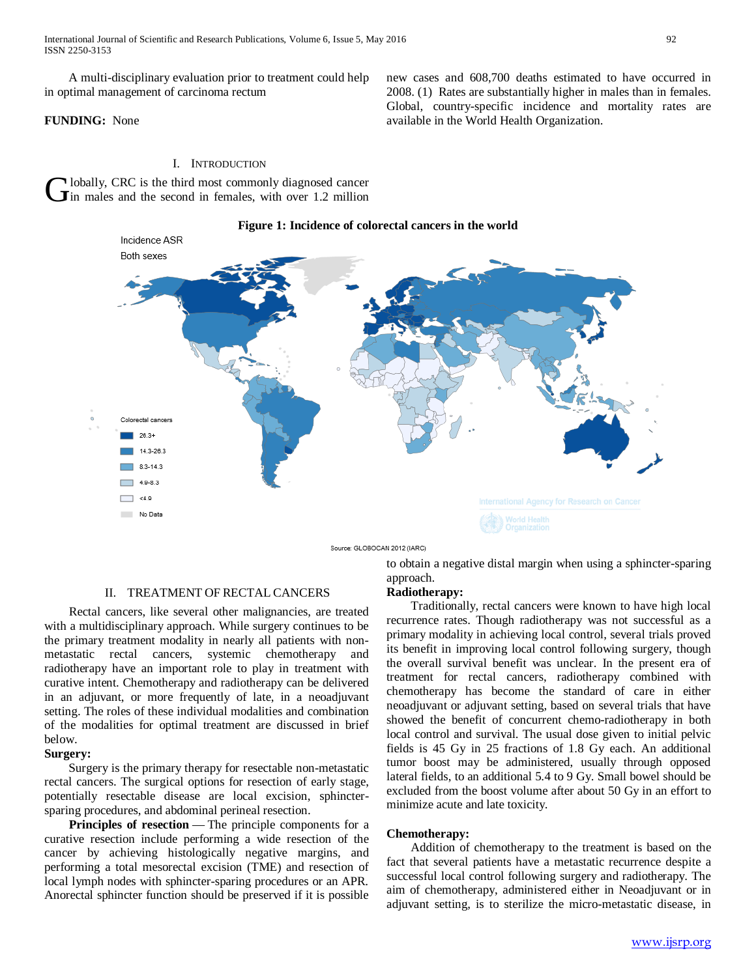A multi-disciplinary evaluation prior to treatment could help in optimal management of carcinoma rectum

## **FUNDING:** None

#### I. INTRODUCTION

Hobally, CRC is the third most commonly diagnosed cancer  $\mathbf{G}$ lobally, CRC is the third most commonly diagnosed cancer in males and the second in females, with over 1.2 million

## **Figure 1: Incidence of colorectal cancers in the world**



Source: GLOBOCAN 2012 (IARC)

#### II. TREATMENT OF RECTAL CANCERS

 Rectal cancers, like several other malignancies, are treated with a multidisciplinary approach. While surgery continues to be the primary treatment modality in nearly all patients with nonmetastatic rectal cancers, systemic chemotherapy and radiotherapy have an important role to play in treatment with curative intent. Chemotherapy and radiotherapy can be delivered in an adjuvant, or more frequently of late, in a neoadjuvant setting. The roles of these individual modalities and combination of the modalities for optimal treatment are discussed in brief below.

## **Surgery:**

 Surgery is the primary therapy for resectable non-metastatic rectal cancers. The surgical options for resection of early stage, potentially resectable disease are local excision, sphinctersparing procedures, and abdominal perineal resection.

**Principles of resection** — The principle components for a curative resection include performing a wide resection of the cancer by achieving histologically negative margins, and performing a total mesorectal excision (TME) and resection of local lymph nodes with sphincter-sparing procedures or an APR. Anorectal sphincter function should be preserved if it is possible

to obtain a negative distal margin when using a sphincter-sparing approach.

new cases and 608,700 deaths estimated to have occurred in 2008. (1) Rates are substantially higher in males than in females. Global, country-specific incidence and mortality rates are

available in the World Health Organization.

#### **Radiotherapy:**

 Traditionally, rectal cancers were known to have high local recurrence rates. Though radiotherapy was not successful as a primary modality in achieving local control, several trials proved its benefit in improving local control following surgery, though the overall survival benefit was unclear. In the present era of treatment for rectal cancers, radiotherapy combined with chemotherapy has become the standard of care in either neoadjuvant or adjuvant setting, based on several trials that have showed the benefit of concurrent chemo-radiotherapy in both local control and survival. The usual dose given to initial pelvic fields is 45 Gy in 25 fractions of 1.8 Gy each. An additional tumor boost may be administered, usually through opposed lateral fields, to an additional 5.4 to 9 Gy. Small bowel should be excluded from the boost volume after about 50 Gy in an effort to minimize acute and late toxicity.

#### **Chemotherapy:**

 Addition of chemotherapy to the treatment is based on the fact that several patients have a metastatic recurrence despite a successful local control following surgery and radiotherapy. The aim of chemotherapy, administered either in Neoadjuvant or in adjuvant setting, is to sterilize the micro-metastatic disease, in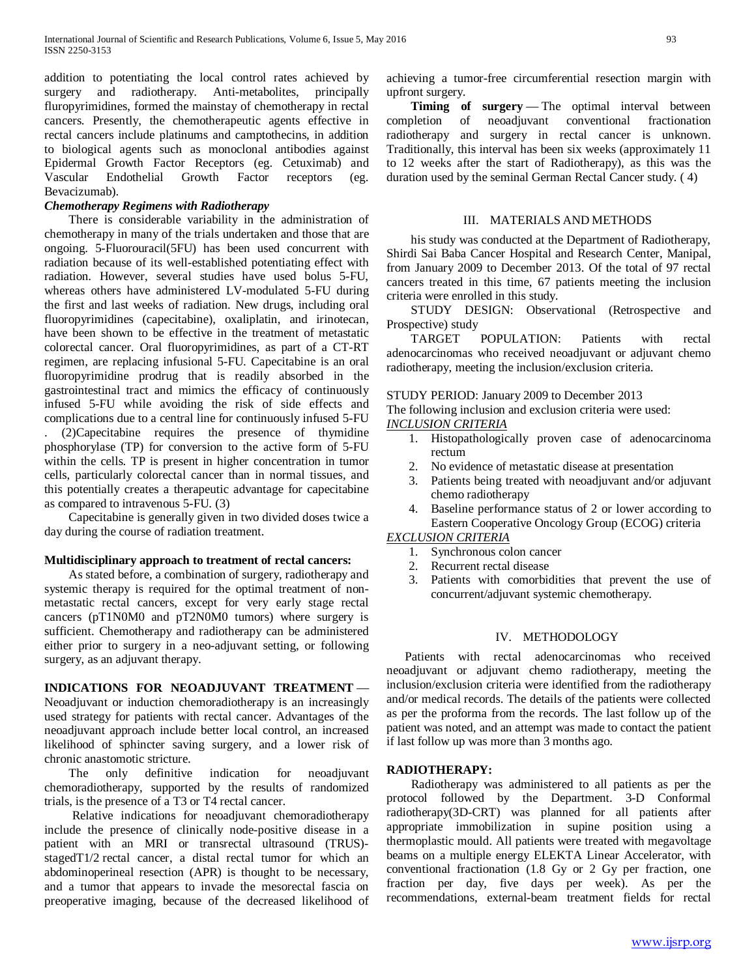addition to potentiating the local control rates achieved by surgery and radiotherapy. Anti-metabolites, principally fluropyrimidines, formed the mainstay of chemotherapy in rectal cancers. Presently, the chemotherapeutic agents effective in rectal cancers include platinums and camptothecins, in addition to biological agents such as monoclonal antibodies against Epidermal Growth Factor Receptors (eg. Cetuximab) and Vascular Endothelial Growth Factor receptors (eg. Bevacizumab).

# *Chemotherapy Regimens with Radiotherapy*

 There is considerable variability in the administration of chemotherapy in many of the trials undertaken and those that are ongoing. 5-Fluorouracil(5FU) has been used concurrent with radiation because of its well-established potentiating effect with radiation. However, several studies have used bolus 5-FU, whereas others have administered LV-modulated 5-FU during the first and last weeks of radiation. New drugs, including oral fluoropyrimidines (capecitabine), oxaliplatin, and irinotecan, have been shown to be effective in the treatment of metastatic colorectal cancer. Oral fluoropyrimidines, as part of a CT-RT regimen, are replacing infusional 5-FU. Capecitabine is an oral fluoropyrimidine prodrug that is readily absorbed in the gastrointestinal tract and mimics the efficacy of continuously infused 5-FU while avoiding the risk of side effects and complications due to a central line for continuously infused 5-FU

. (2)Capecitabine requires the presence of thymidine phosphorylase (TP) for conversion to the active form of 5-FU within the cells. TP is present in higher concentration in tumor cells, particularly colorectal cancer than in normal tissues, and this potentially creates a therapeutic advantage for capecitabine as compared to intravenous 5-FU. (3)

 Capecitabine is generally given in two divided doses twice a day during the course of radiation treatment.

#### **Multidisciplinary approach to treatment of rectal cancers:**

 As stated before, a combination of surgery, radiotherapy and systemic therapy is required for the optimal treatment of nonmetastatic rectal cancers, except for very early stage rectal cancers (pT1N0M0 and pT2N0M0 tumors) where surgery is sufficient. Chemotherapy and radiotherapy can be administered either prior to surgery in a neo-adjuvant setting, or following surgery, as an adjuvant therapy.

## **INDICATIONS FOR NEOADJUVANT TREATMENT** —

Neoadjuvant or induction chemoradiotherapy is an increasingly used strategy for patients with rectal cancer. Advantages of the neoadjuvant approach include better local control, an increased likelihood of sphincter saving surgery, and a lower risk of chronic anastomotic stricture.

 The only definitive indication for neoadjuvant chemoradiotherapy, supported by the results of randomized trials, is the presence of a T3 or T4 rectal cancer.

 Relative indications for neoadjuvant chemoradiotherapy include the presence of clinically node-positive disease in a patient with an MRI or transrectal ultrasound (TRUS) stagedT1/2 rectal cancer, a distal rectal tumor for which an abdominoperineal resection (APR) is thought to be necessary, and a tumor that appears to invade the mesorectal fascia on preoperative imaging, because of the decreased likelihood of achieving a tumor-free circumferential resection margin with upfront surgery.

**Timing of surgery** — The optimal interval between completion of neoadjuvant conventional fractionation radiotherapy and surgery in rectal cancer is unknown. Traditionally, this interval has been six weeks (approximately 11 to 12 weeks after the start of Radiotherapy), as this was the duration used by the seminal German Rectal Cancer study. ( 4)

#### III. MATERIALS AND METHODS

 his study was conducted at the Department of Radiotherapy, Shirdi Sai Baba Cancer Hospital and Research Center, Manipal, from January 2009 to December 2013. Of the total of 97 rectal cancers treated in this time, 67 patients meeting the inclusion criteria were enrolled in this study.

 STUDY DESIGN: Observational (Retrospective and Prospective) study

 TARGET POPULATION: Patients with rectal adenocarcinomas who received neoadjuvant or adjuvant chemo radiotherapy, meeting the inclusion/exclusion criteria.

## STUDY PERIOD: January 2009 to December 2013

The following inclusion and exclusion criteria were used:

## *INCLUSION CRITERIA*

- 1. Histopathologically proven case of adenocarcinoma rectum
- 2. No evidence of metastatic disease at presentation
- 3. Patients being treated with neoadjuvant and/or adjuvant chemo radiotherapy
- 4. Baseline performance status of 2 or lower according to Eastern Cooperative Oncology Group (ECOG) criteria

# *EXCLUSION CRITERIA*

- 1. Synchronous colon cancer
- 2. Recurrent rectal disease
- 3. Patients with comorbidities that prevent the use of concurrent/adjuvant systemic chemotherapy.

## IV. METHODOLOGY

 Patients with rectal adenocarcinomas who received neoadjuvant or adjuvant chemo radiotherapy, meeting the inclusion/exclusion criteria were identified from the radiotherapy and/or medical records. The details of the patients were collected as per the proforma from the records. The last follow up of the patient was noted, and an attempt was made to contact the patient if last follow up was more than 3 months ago.

#### **RADIOTHERAPY:**

 Radiotherapy was administered to all patients as per the protocol followed by the Department. 3-D Conformal radiotherapy(3D-CRT) was planned for all patients after appropriate immobilization in supine position using a thermoplastic mould. All patients were treated with megavoltage beams on a multiple energy ELEKTA Linear Accelerator, with conventional fractionation (1.8 Gy or 2 Gy per fraction, one fraction per day, five days per week). As per the recommendations, external-beam treatment fields for rectal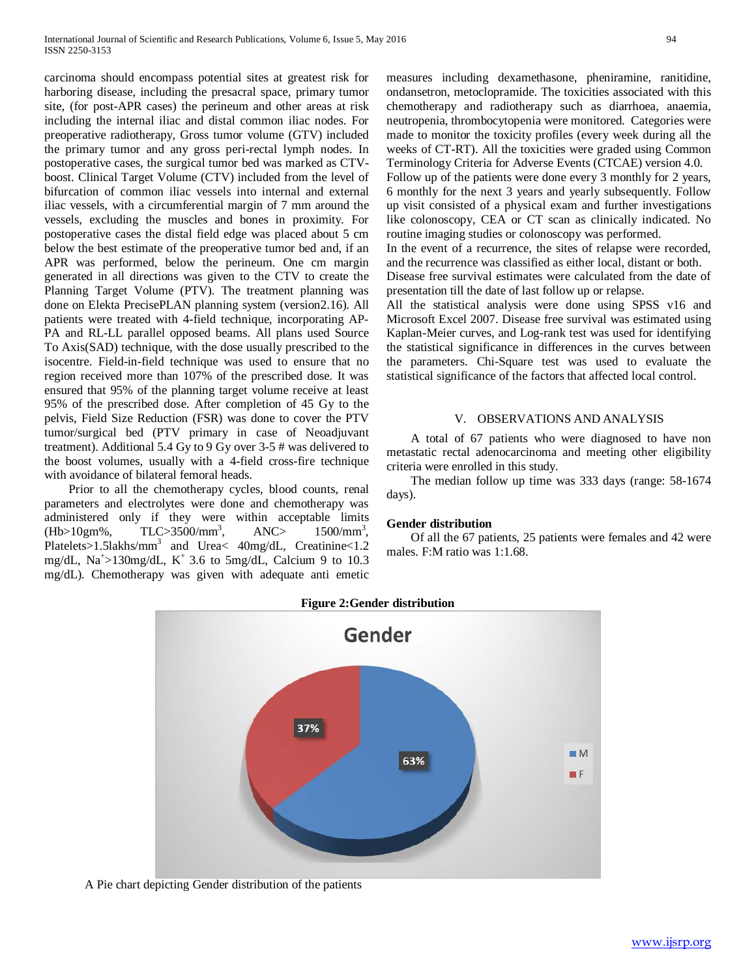carcinoma should encompass potential sites at greatest risk for harboring disease, including the presacral space, primary tumor site, (for post-APR cases) the perineum and other areas at risk including the internal iliac and distal common iliac nodes. For preoperative radiotherapy, Gross tumor volume (GTV) included the primary tumor and any gross peri-rectal lymph nodes. In postoperative cases, the surgical tumor bed was marked as CTVboost. Clinical Target Volume (CTV) included from the level of bifurcation of common iliac vessels into internal and external iliac vessels, with a circumferential margin of 7 mm around the vessels, excluding the muscles and bones in proximity. For postoperative cases the distal field edge was placed about 5 cm below the best estimate of the preoperative tumor bed and, if an APR was performed, below the perineum. One cm margin generated in all directions was given to the CTV to create the Planning Target Volume (PTV). The treatment planning was done on Elekta PrecisePLAN planning system (version2.16). All patients were treated with 4-field technique, incorporating AP-PA and RL-LL parallel opposed beams. All plans used Source To Axis(SAD) technique, with the dose usually prescribed to the isocentre. Field-in-field technique was used to ensure that no region received more than 107% of the prescribed dose. It was ensured that 95% of the planning target volume receive at least 95% of the prescribed dose. After completion of 45 Gy to the pelvis, Field Size Reduction (FSR) was done to cover the PTV tumor/surgical bed (PTV primary in case of Neoadjuvant treatment). Additional 5.4 Gy to 9 Gy over 3-5 # was delivered to the boost volumes, usually with a 4-field cross-fire technique with avoidance of bilateral femoral heads.

 Prior to all the chemotherapy cycles, blood counts, renal parameters and electrolytes were done and chemotherapy was administered only if they were within acceptable limits  $(Hb>10gm\%$ , TLC>3500/mm<sup>3</sup>, , ANC> 1500/mm<sup>3</sup>, Platelets>1.5lakhs/mm3 and Urea< 40mg/dL, Creatinine<1.2 mg/dL,  $\text{Na}^{\text{+}} > 130 \text{mg}/\text{dL}$ ,  $\text{K}^{\text{+}}$  3.6 to 5mg/dL, Calcium 9 to 10.3 mg/dL). Chemotherapy was given with adequate anti emetic

measures including dexamethasone, pheniramine, ranitidine, ondansetron, metoclopramide. The toxicities associated with this chemotherapy and radiotherapy such as diarrhoea, anaemia, neutropenia, thrombocytopenia were monitored. Categories were made to monitor the toxicity profiles (every week during all the weeks of CT-RT). All the toxicities were graded using Common Terminology Criteria for Adverse Events (CTCAE) version 4.0. Follow up of the patients were done every 3 monthly for 2 years, 6 monthly for the next 3 years and yearly subsequently. Follow

up visit consisted of a physical exam and further investigations like colonoscopy, CEA or CT scan as clinically indicated. No routine imaging studies or colonoscopy was performed.

In the event of a recurrence, the sites of relapse were recorded, and the recurrence was classified as either local, distant or both. Disease free survival estimates were calculated from the date of presentation till the date of last follow up or relapse.

All the statistical analysis were done using SPSS v16 and Microsoft Excel 2007. Disease free survival was estimated using Kaplan-Meier curves, and Log-rank test was used for identifying the statistical significance in differences in the curves between the parameters. Chi-Square test was used to evaluate the statistical significance of the factors that affected local control.

#### V. OBSERVATIONS AND ANALYSIS

 A total of 67 patients who were diagnosed to have non metastatic rectal adenocarcinoma and meeting other eligibility criteria were enrolled in this study.

 The median follow up time was 333 days (range: 58-1674 days).

#### **Gender distribution**

 Of all the 67 patients, 25 patients were females and 42 were males. F:M ratio was 1:1.68.



Gender 37%  $M$ 63%  $\blacksquare$ F

# **Figure 2:Gender distribution**

A Pie chart depicting Gender distribution of the patients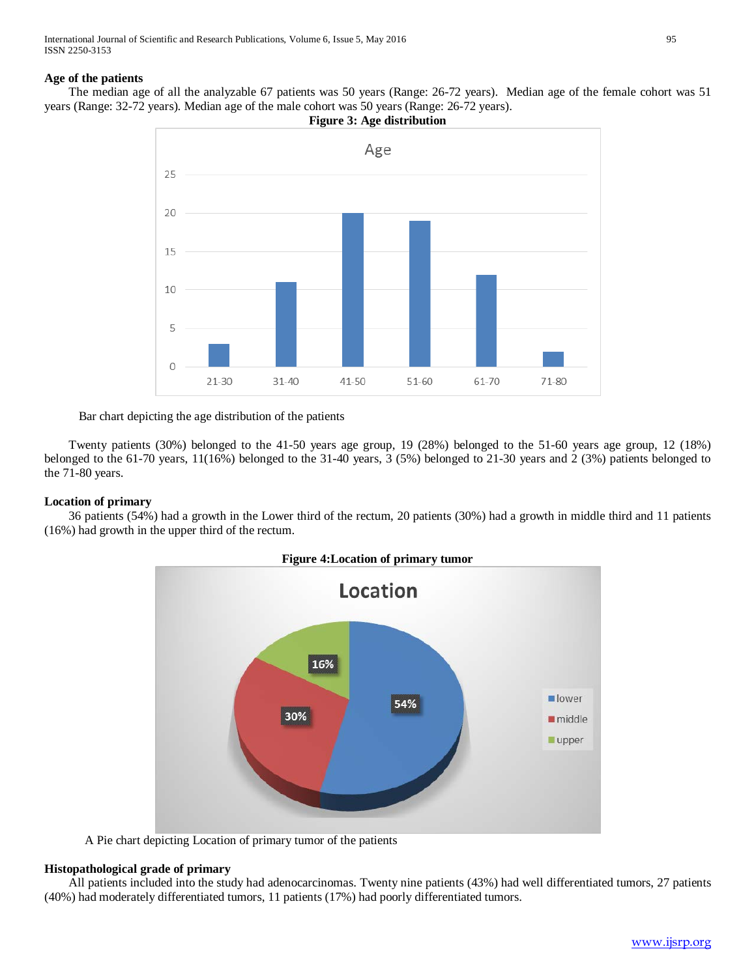International Journal of Scientific and Research Publications, Volume 6, Issue 5, May 2016 95 ISSN 2250-3153

## **Age of the patients**

 The median age of all the analyzable 67 patients was 50 years (Range: 26-72 years). Median age of the female cohort was 51 years (Range: 32-72 years). Median age of the male cohort was 50 years (Range: 26-72 years).



Bar chart depicting the age distribution of the patients

 Twenty patients (30%) belonged to the 41-50 years age group, 19 (28%) belonged to the 51-60 years age group, 12 (18%) belonged to the 61-70 years, 11(16%) belonged to the 31-40 years, 3 (5%) belonged to 21-30 years and 2 (3%) patients belonged to the 71-80 years.

# **Location of primary**

 36 patients (54%) had a growth in the Lower third of the rectum, 20 patients (30%) had a growth in middle third and 11 patients (16%) had growth in the upper third of the rectum.



A Pie chart depicting Location of primary tumor of the patients

#### **Histopathological grade of primary**

 All patients included into the study had adenocarcinomas. Twenty nine patients (43%) had well differentiated tumors, 27 patients (40%) had moderately differentiated tumors, 11 patients (17%) had poorly differentiated tumors.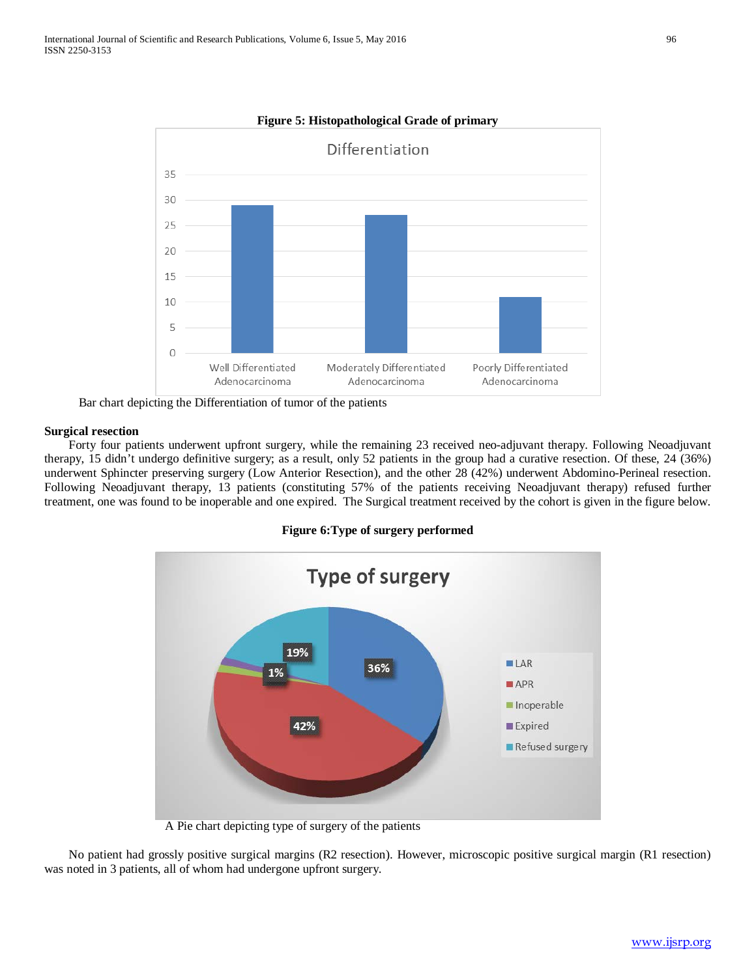

**Figure 5: Histopathological Grade of primary**

Bar chart depicting the Differentiation of tumor of the patients

#### **Surgical resection**

 Forty four patients underwent upfront surgery, while the remaining 23 received neo-adjuvant therapy. Following Neoadjuvant therapy, 15 didn't undergo definitive surgery; as a result, only 52 patients in the group had a curative resection. Of these, 24 (36%) underwent Sphincter preserving surgery (Low Anterior Resection), and the other 28 (42%) underwent Abdomino-Perineal resection. Following Neoadjuvant therapy, 13 patients (constituting 57% of the patients receiving Neoadjuvant therapy) refused further treatment, one was found to be inoperable and one expired. The Surgical treatment received by the cohort is given in the figure below.

**Figure 6:Type of surgery performed**



A Pie chart depicting type of surgery of the patients

 No patient had grossly positive surgical margins (R2 resection). However, microscopic positive surgical margin (R1 resection) was noted in 3 patients, all of whom had undergone upfront surgery.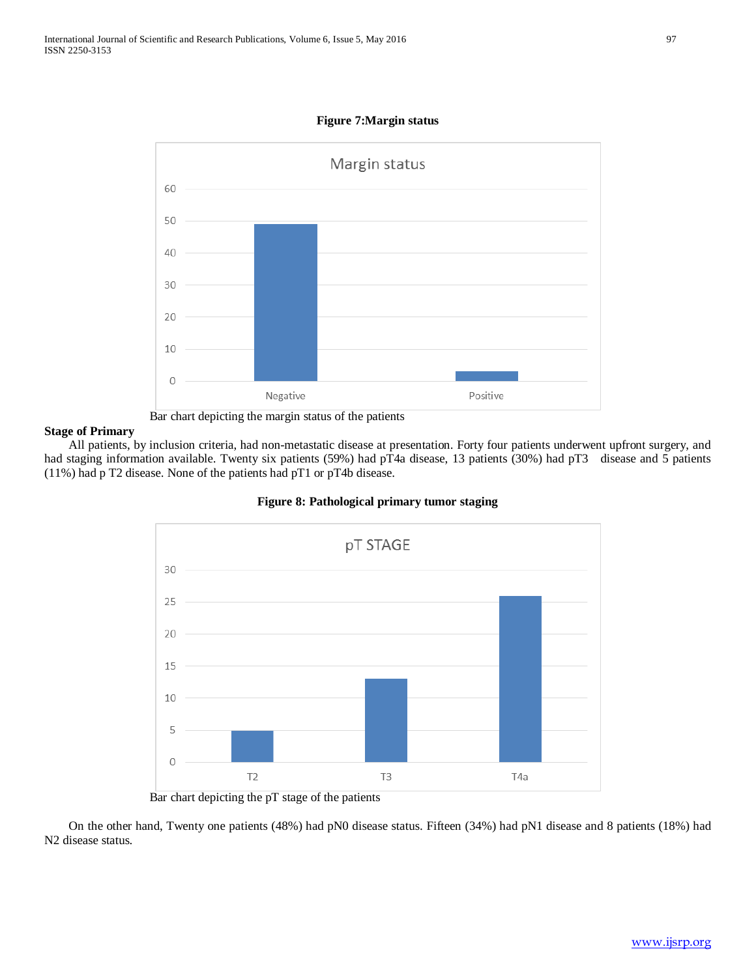

**Figure 7:Margin status**



## **Stage of Primary**

 All patients, by inclusion criteria, had non-metastatic disease at presentation. Forty four patients underwent upfront surgery, and had staging information available. Twenty six patients (59%) had pT4a disease, 13 patients (30%) had pT3 disease and 5 patients (11%) had p T2 disease. None of the patients had pT1 or pT4b disease.



# **Figure 8: Pathological primary tumor staging**

 On the other hand, Twenty one patients (48%) had pN0 disease status. Fifteen (34%) had pN1 disease and 8 patients (18%) had N2 disease status.

Bar chart depicting the pT stage of the patients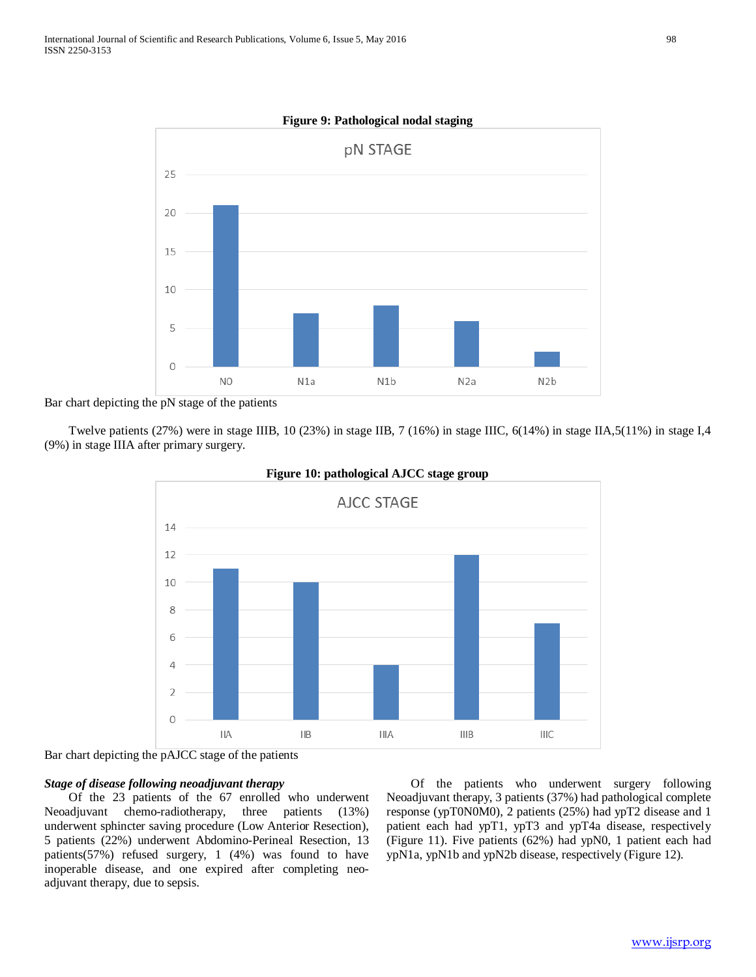

**Figure 9: Pathological nodal staging**

Bar chart depicting the pN stage of the patients

 Twelve patients (27%) were in stage IIIB, 10 (23%) in stage IIB, 7 (16%) in stage IIIC, 6(14%) in stage IIA,5(11%) in stage I,4 (9%) in stage IIIA after primary surgery.



#### **Figure 10: pathological AJCC stage group**

Bar chart depicting the pAJCC stage of the patients

## *Stage of disease following neoadjuvant therapy*

 Of the 23 patients of the 67 enrolled who underwent Neoadjuvant chemo-radiotherapy, three patients (13%) underwent sphincter saving procedure (Low Anterior Resection), 5 patients (22%) underwent Abdomino-Perineal Resection, 13 patients(57%) refused surgery, 1 (4%) was found to have inoperable disease, and one expired after completing neoadjuvant therapy, due to sepsis.

 Of the patients who underwent surgery following Neoadjuvant therapy, 3 patients (37%) had pathological complete response (ypT0N0M0), 2 patients (25%) had ypT2 disease and 1 patient each had ypT1, ypT3 and ypT4a disease, respectively (Figure 11). Five patients (62%) had ypN0, 1 patient each had ypN1a, ypN1b and ypN2b disease, respectively (Figure 12).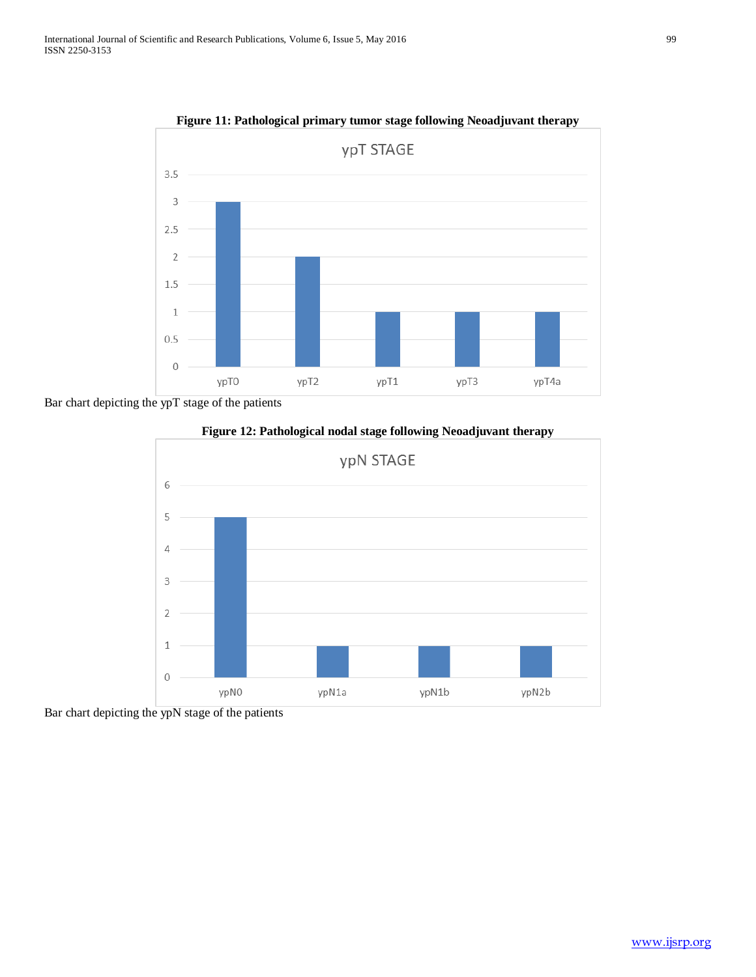

**Figure 11: Pathological primary tumor stage following Neoadjuvant therapy**

Bar chart depicting the ypT stage of the patients





Bar chart depicting the ypN stage of the patients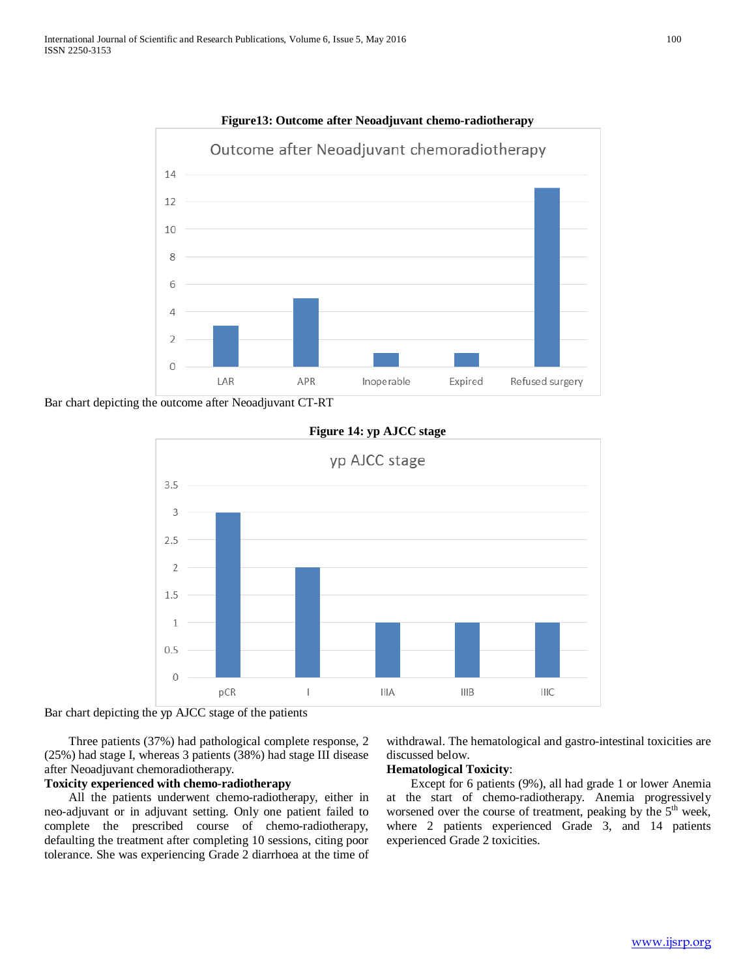

**Figure13: Outcome after Neoadjuvant chemo-radiotherapy**

Bar chart depicting the outcome after Neoadjuvant CT-RT



## **Figure 14: yp AJCC stage**

Bar chart depicting the yp AJCC stage of the patients

 Three patients (37%) had pathological complete response, 2 (25%) had stage I, whereas 3 patients (38%) had stage III disease after Neoadjuvant chemoradiotherapy.

# **Toxicity experienced with chemo-radiotherapy**

 All the patients underwent chemo-radiotherapy, either in neo-adjuvant or in adjuvant setting. Only one patient failed to complete the prescribed course of chemo-radiotherapy, defaulting the treatment after completing 10 sessions, citing poor tolerance. She was experiencing Grade 2 diarrhoea at the time of withdrawal. The hematological and gastro-intestinal toxicities are discussed below.

## **Hematological Toxicity**:

 Except for 6 patients (9%), all had grade 1 or lower Anemia at the start of chemo-radiotherapy. Anemia progressively worsened over the course of treatment, peaking by the  $5<sup>th</sup>$  week, where 2 patients experienced Grade 3, and 14 patients experienced Grade 2 toxicities.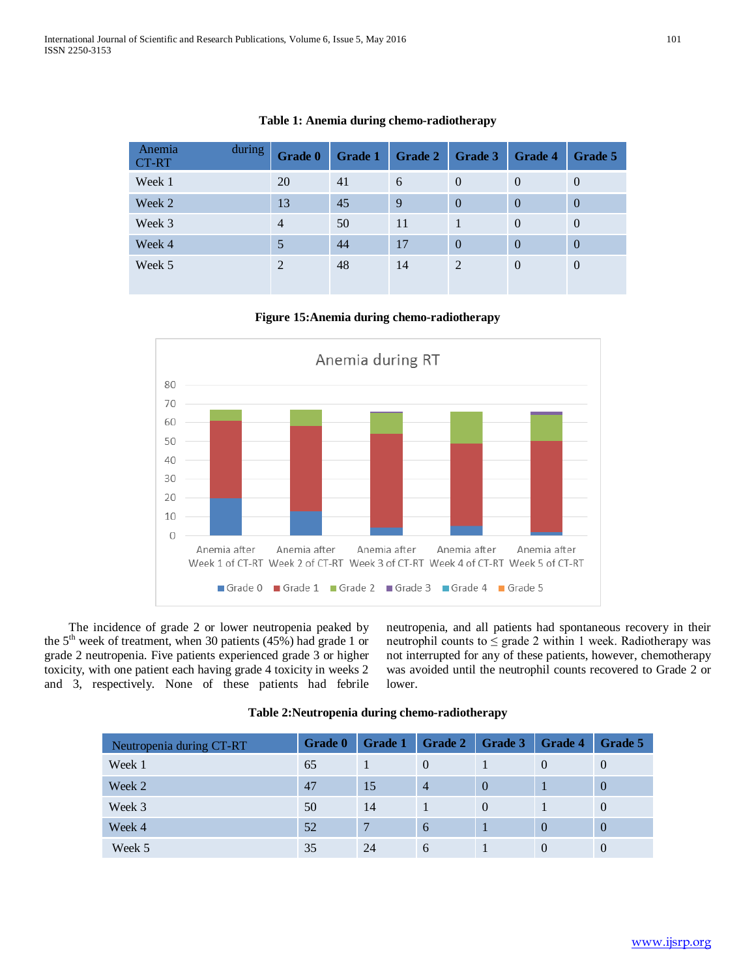| during<br>Anemia<br>CT-RT | Grade 0        | Grade 1 | <b>Grade 2</b> | Grade 3        | <b>Grade 4</b> | Grade 5        |
|---------------------------|----------------|---------|----------------|----------------|----------------|----------------|
| Week 1                    | 20             | 41      | 6              | $\Omega$       | $\theta$       | $\theta$       |
| Week 2                    | 13             | 45      | 9              | $\Omega$       | $\overline{0}$ | $\overline{0}$ |
| Week 3                    | $\overline{4}$ | 50      | 11             |                | $\theta$       | $\theta$       |
| Week 4                    | 5              | 44      | 17             | $\Omega$       | $\overline{0}$ | $\theta$       |
| Week 5                    | 2              | 48      | 14             | $\overline{2}$ | $\theta$       | $\overline{0}$ |

# **Table 1: Anemia during chemo-radiotherapy**

## **Figure 15:Anemia during chemo-radiotherapy**



 The incidence of grade 2 or lower neutropenia peaked by the 5<sup>th</sup> week of treatment, when 30 patients (45%) had grade 1 or grade 2 neutropenia. Five patients experienced grade 3 or higher toxicity, with one patient each having grade 4 toxicity in weeks 2 and 3, respectively. None of these patients had febrile neutropenia, and all patients had spontaneous recovery in their neutrophil counts to  $\leq$  grade 2 within 1 week. Radiotherapy was not interrupted for any of these patients, however, chemotherapy was avoided until the neutrophil counts recovered to Grade 2 or lower.

| Neutropenia during CT-RT | <b>Grade 0</b> | Grade 1 | Grade 2        | Grade 3  | <b>Grade 4</b> | Grade 5        |
|--------------------------|----------------|---------|----------------|----------|----------------|----------------|
| Week 1                   | 65             |         | $\theta$       |          | $\theta$       | $\theta$       |
| Week 2                   | 47             | 15      | $\overline{4}$ | $\theta$ |                | $\overline{0}$ |
| Week 3                   | 50             | 14      |                | $\theta$ |                | $\theta$       |
| Week 4                   | 52             |         | 6              |          | $\Omega$       | $\overline{0}$ |
| Week 5                   | 35             | 24      | 6              |          | $\theta$       | $\theta$       |

#### **Table 2:Neutropenia during chemo-radiotherapy**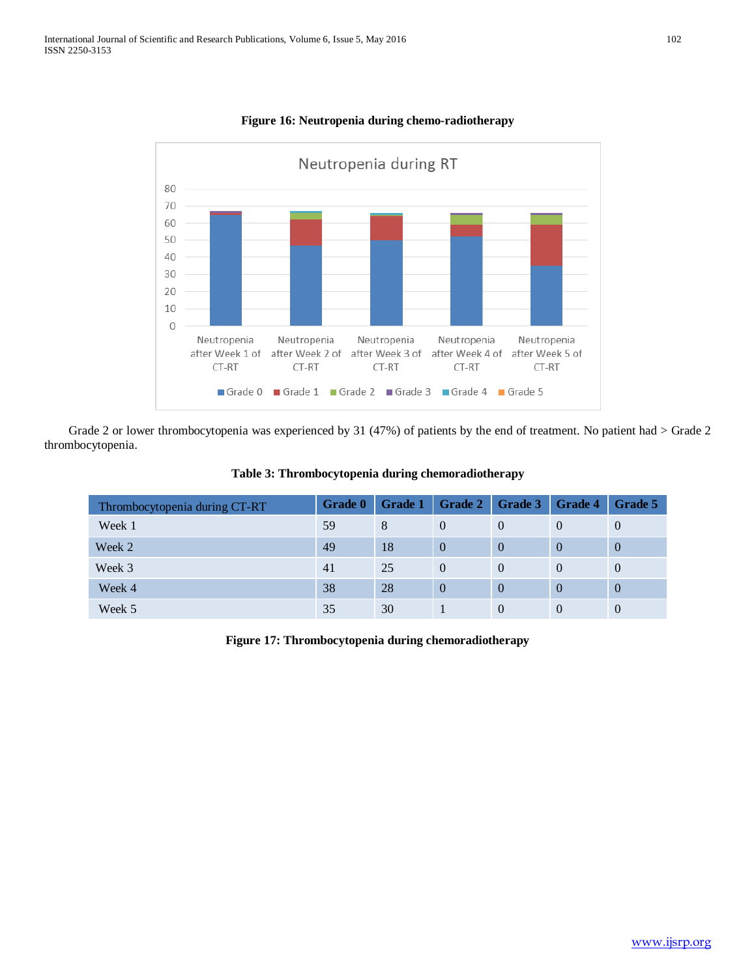

# **Figure 16: Neutropenia during chemo-radiotherapy**

Grade 2 or lower thrombocytopenia was experienced by 31 (47%) of patients by the end of treatment. No patient had > Grade 2 thrombocytopenia.

| Thrombocytopenia during CT-RT | <b>Grade 0</b> | Grade 1 | Grade 2  | Grade 3  | <b>Grade 4</b> | Grade 5        |
|-------------------------------|----------------|---------|----------|----------|----------------|----------------|
| Week 1                        | 59             | 8       | $\Omega$ | $\theta$ | $\Omega$       | $\theta$       |
| Week 2                        | 49             | 18      | $\Omega$ | $\Omega$ | $\Omega$       | $\overline{0}$ |
| Week 3                        | 41             | 25      | $\Omega$ | $\Omega$ | $\Omega$       | $\overline{0}$ |
| Week 4                        | 38             | 28      | $\Omega$ | $\Omega$ | $\Omega$       | $\overline{0}$ |
| Week 5                        | 35             | 30      |          | $\Omega$ | $\theta$       | $\overline{0}$ |

## **Table 3: Thrombocytopenia during chemoradiotherapy**

**Figure 17: Thrombocytopenia during chemoradiotherapy**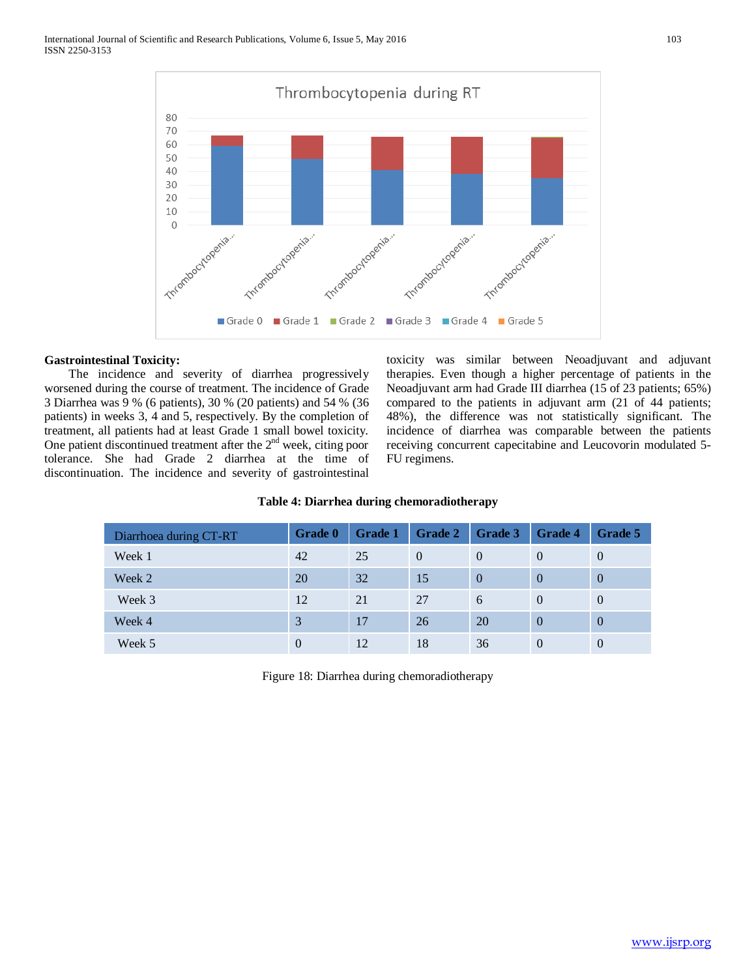

## **Gastrointestinal Toxicity:**

 The incidence and severity of diarrhea progressively worsened during the course of treatment. The incidence of Grade 3 Diarrhea was 9 % (6 patients), 30 % (20 patients) and 54 % (36 patients) in weeks 3, 4 and 5, respectively. By the completion of treatment, all patients had at least Grade 1 small bowel toxicity. One patient discontinued treatment after the  $2<sup>nd</sup>$  week, citing poor tolerance. She had Grade 2 diarrhea at the time of discontinuation. The incidence and severity of gastrointestinal toxicity was similar between Neoadjuvant and adjuvant therapies. Even though a higher percentage of patients in the Neoadjuvant arm had Grade III diarrhea (15 of 23 patients; 65%) compared to the patients in adjuvant arm (21 of 44 patients; 48%), the difference was not statistically significant. The incidence of diarrhea was comparable between the patients receiving concurrent capecitabine and Leucovorin modulated 5- FU regimens.

# **Table 4: Diarrhea during chemoradiotherapy**

| Diarrhoea during CT-RT | <b>Grade 0</b> | <b>Grade 1</b> | Grade 2  | Grade 3        | <b>Grade 4</b> | Grade 5  |
|------------------------|----------------|----------------|----------|----------------|----------------|----------|
| Week 1                 | 42             | 25             | $\theta$ | $\theta$       | $\Omega$       | $\theta$ |
| Week 2                 | <b>20</b>      | 32             | 15       | $\overline{0}$ | $\Omega$       | $\Omega$ |
| Week 3                 | 12             | 21             | 27       | 6              | $\Omega$       | $\theta$ |
| Week 4                 | 3              | 17             | 26       | 20             | $\Omega$       | $\Omega$ |
| Week 5                 | 0              | 12             | 18       | 36             | $\Omega$       | $\Omega$ |

Figure 18: Diarrhea during chemoradiotherapy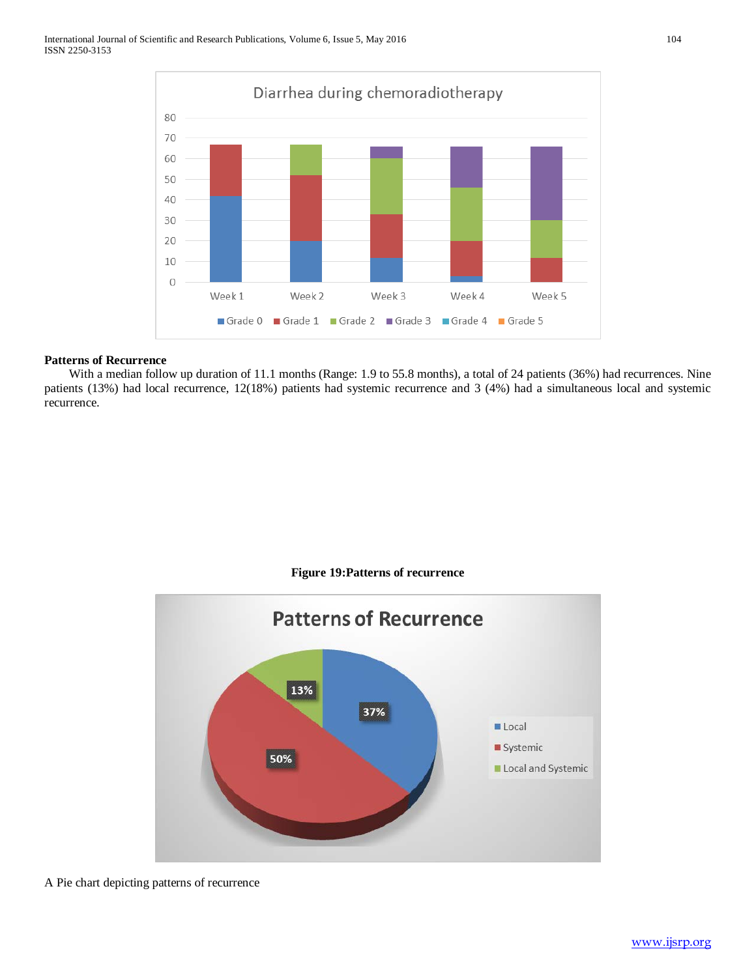

# **Patterns of Recurrence**

With a median follow up duration of 11.1 months (Range: 1.9 to 55.8 months), a total of 24 patients (36%) had recurrences. Nine patients (13%) had local recurrence, 12(18%) patients had systemic recurrence and 3 (4%) had a simultaneous local and systemic recurrence.





A Pie chart depicting patterns of recurrence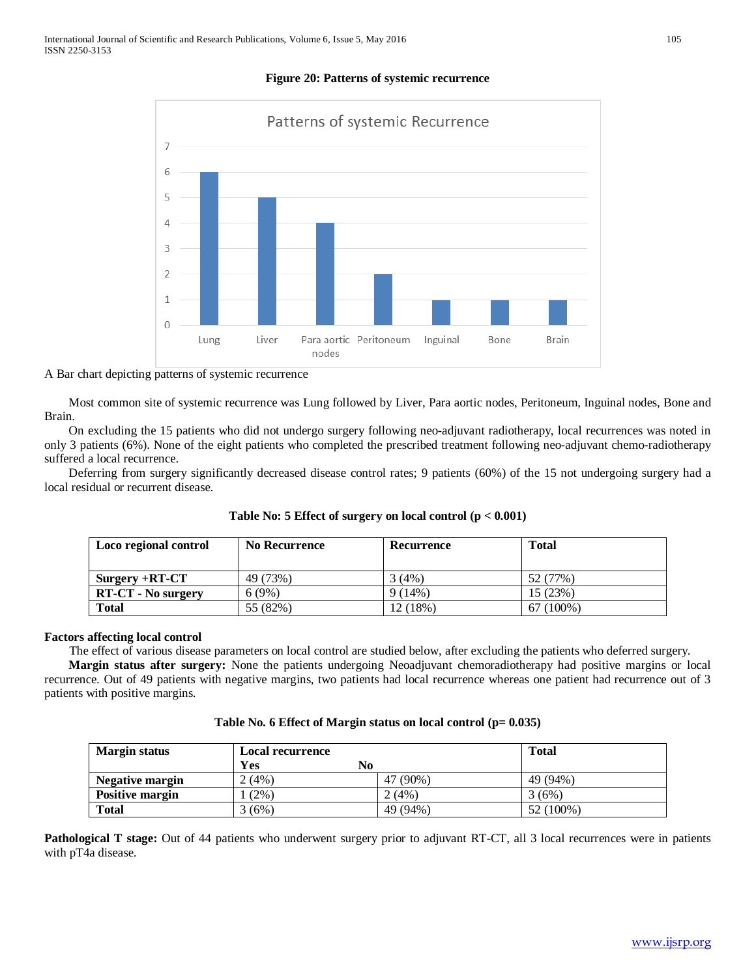# **Figure 20: Patterns of systemic recurrence**



## A Bar chart depicting patterns of systemic recurrence

 Most common site of systemic recurrence was Lung followed by Liver, Para aortic nodes, Peritoneum, Inguinal nodes, Bone and Brain.

 On excluding the 15 patients who did not undergo surgery following neo-adjuvant radiotherapy, local recurrences was noted in only 3 patients (6%). None of the eight patients who completed the prescribed treatment following neo-adjuvant chemo-radiotherapy suffered a local recurrence.

 Deferring from surgery significantly decreased disease control rates; 9 patients (60%) of the 15 not undergoing surgery had a local residual or recurrent disease.

| Loco regional control     | <b>No Recurrence</b> | Recurrence | <b>Total</b> |
|---------------------------|----------------------|------------|--------------|
| $Surgery + RT-CT$         | 49 (73%)             | 3 (4%)     | 52 (77%)     |
| <b>RT-CT - No surgery</b> | 6(9%)                | 9(14%)     | 15(23%)      |
| <b>Total</b>              | 55 (82%)             | 12 (18%)   | $67(100\%)$  |

## **Table No: 5 Effect of surgery on local control (p < 0.001)**

## **Factors affecting local control**

The effect of various disease parameters on local control are studied below, after excluding the patients who deferred surgery.

 **Margin status after surgery:** None the patients undergoing Neoadjuvant chemoradiotherapy had positive margins or local recurrence. Out of 49 patients with negative margins, two patients had local recurrence whereas one patient had recurrence out of 3 patients with positive margins.

| <b>Margin status</b>   | <b>Local recurrence</b> | <b>Total</b> |           |
|------------------------|-------------------------|--------------|-----------|
|                        | Yes<br>No.              |              |           |
| Negative margin        | 2(4%)                   | 47 (90%)     | 49 (94%)  |
| <b>Positive margin</b> | $(2\%)$                 | $2(4\%)$     | 3(6%)     |
| <b>Total</b>           | 3(6%)                   | 49 (94%)     | 52 (100%) |

**Pathological T stage:** Out of 44 patients who underwent surgery prior to adjuvant RT-CT, all 3 local recurrences were in patients with pT4a disease.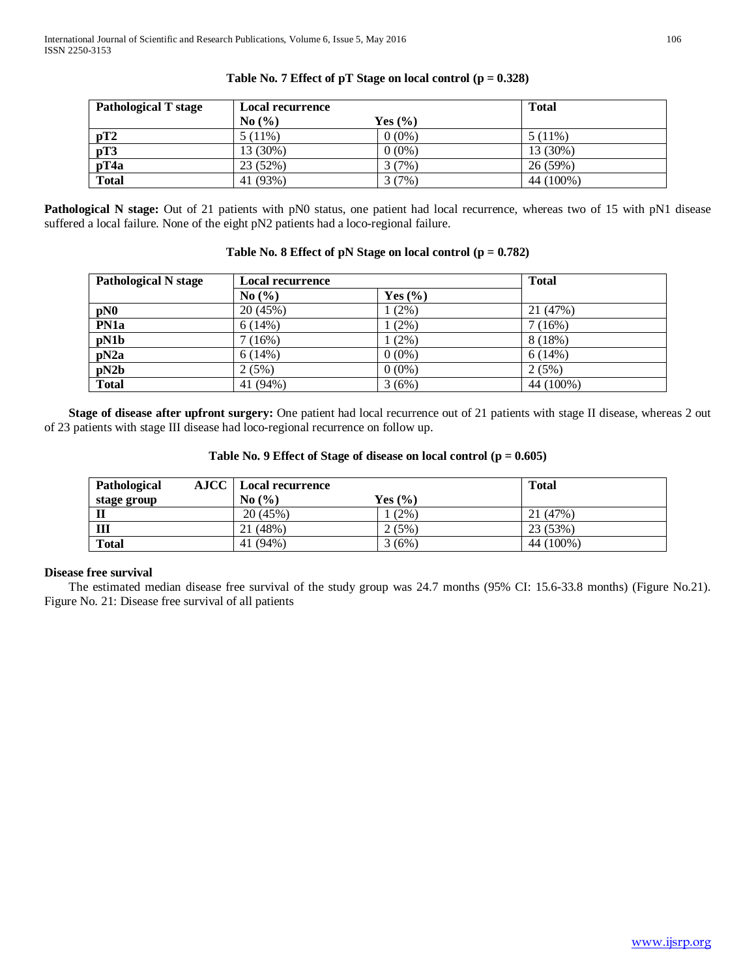| <b>Pathological T stage</b> |           | <b>Local recurrence</b> |           |  |
|-----------------------------|-----------|-------------------------|-----------|--|
|                             | No(%)     | Yes $(\% )$             |           |  |
| pT2                         | $5(11\%)$ | $0(0\%)$                | $5(11\%)$ |  |
| pT3                         | 13 (30%)  | $0(0\%)$                | 13 (30%)  |  |
| pT4a                        | 23 (52%)  | 3(7%)                   | 26 (59%)  |  |
| <b>Total</b>                | 41 (93%)  | 3(7%)                   | 44 (100%) |  |

# **Table No. 7 Effect of pT Stage on local control (p = 0.328)**

**Pathological N stage:** Out of 21 patients with pN0 status, one patient had local recurrence, whereas two of 15 with pN1 disease suffered a local failure. None of the eight pN2 patients had a loco-regional failure.

| <b>Pathological N stage</b> | <b>Local recurrence</b> |             | <b>Total</b> |
|-----------------------------|-------------------------|-------------|--------------|
|                             | No $(\% )$              | Yes $(\% )$ |              |
| pN0                         | 20 (45%)                | (2%)        | 21 (47%)     |
| PN1a                        | 6(14%)                  | $(2\%)$     | 7(16%)       |
| pN1b                        | 7(16%)                  | (2%)        | 8(18%)       |
| pN2a                        | 6(14%)                  | $0(0\%)$    | 6(14%)       |
| pN2b                        | 2(5%)                   | $0(0\%)$    | 2(5%)        |
| <b>Total</b>                | 41 (94%)                | 3(6%)       | 44 (100%)    |

# **Table No. 8 Effect of pN Stage on local control (p = 0.782)**

 **Stage of disease after upfront surgery:** One patient had local recurrence out of 21 patients with stage II disease, whereas 2 out of 23 patients with stage III disease had loco-regional recurrence on follow up.

| Pathological | <b>AJCC</b>   Local recurrence | <b>Total</b> |           |
|--------------|--------------------------------|--------------|-----------|
| stage group  | No(%)                          | Yes $(\% )$  |           |
| Ш            | 20(45%)                        | $(2\%)$      | 21 (47%)  |
| III          | 21(48%)                        | 2(5%)        | 23 (53%)  |
| <b>Total</b> | 41 (94%)                       | 3(6%)        | 44 (100%) |

## **Disease free survival**

 The estimated median disease free survival of the study group was 24.7 months (95% CI: 15.6-33.8 months) (Figure No.21). Figure No. 21: Disease free survival of all patients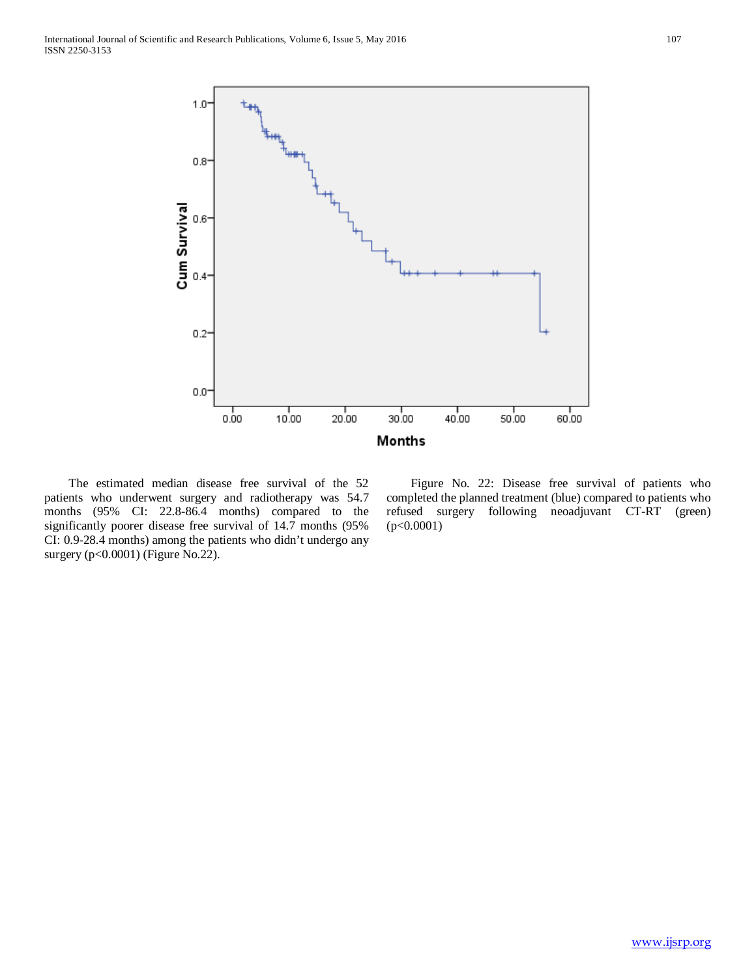

 The estimated median disease free survival of the 52 patients who underwent surgery and radiotherapy was 54.7 months (95% CI: 22.8-86.4 months) compared to the significantly poorer disease free survival of 14.7 months (95% CI: 0.9-28.4 months) among the patients who didn't undergo any surgery (p<0.0001) (Figure No.22).

 Figure No. 22: Disease free survival of patients who completed the planned treatment (blue) compared to patients who refused surgery following neoadjuvant CT-RT (green) (p<0.0001)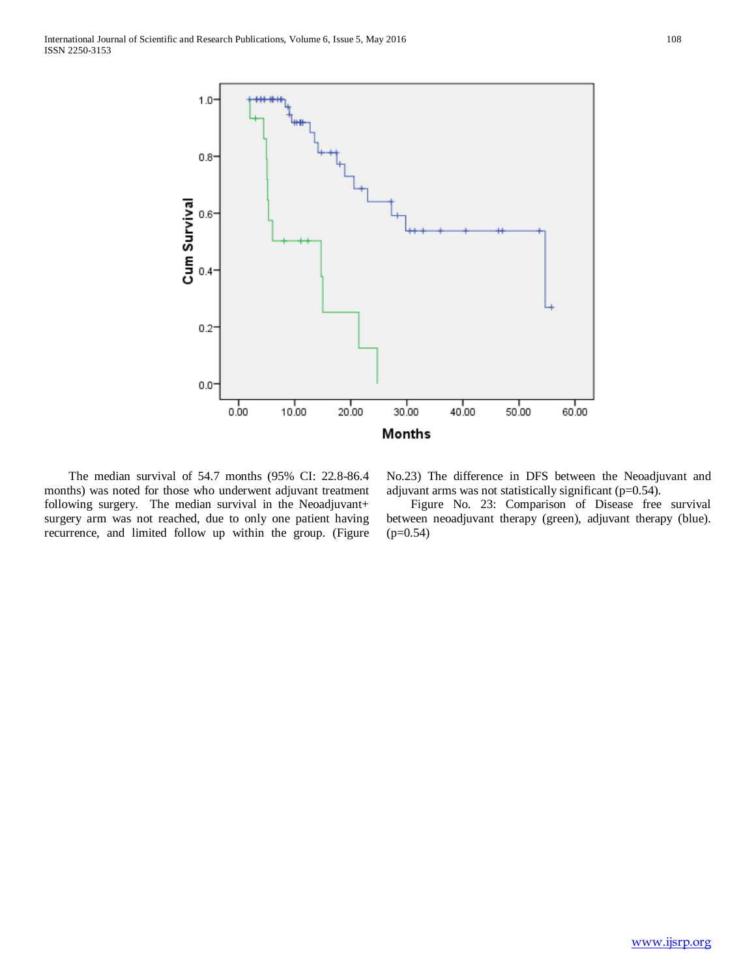

 The median survival of 54.7 months (95% CI: 22.8-86.4 months) was noted for those who underwent adjuvant treatment following surgery. The median survival in the Neoadjuvant+ surgery arm was not reached, due to only one patient having recurrence, and limited follow up within the group. (Figure

No.23) The difference in DFS between the Neoadjuvant and adjuvant arms was not statistically significant (p=0.54).

 Figure No. 23: Comparison of Disease free survival between neoadjuvant therapy (green), adjuvant therapy (blue).  $(p=0.54)$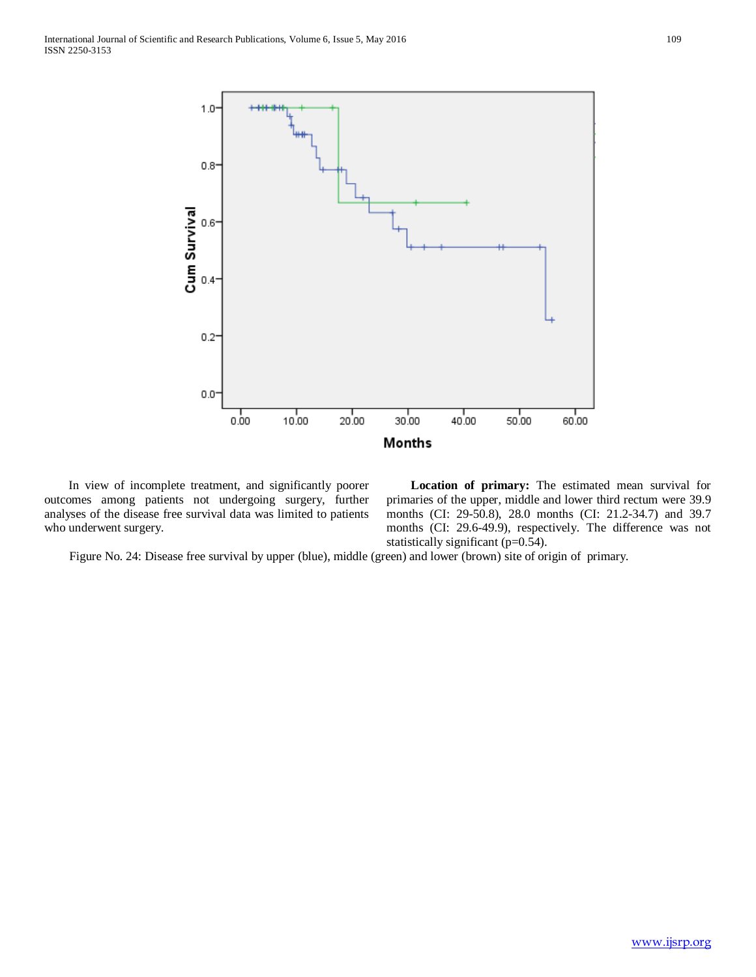

 In view of incomplete treatment, and significantly poorer outcomes among patients not undergoing surgery, further analyses of the disease free survival data was limited to patients who underwent surgery.

 **Location of primary:** The estimated mean survival for primaries of the upper, middle and lower third rectum were 39.9 months (CI: 29-50.8), 28.0 months (CI: 21.2-34.7) and 39.7 months (CI: 29.6-49.9), respectively. The difference was not statistically significant (p=0.54).

Figure No. 24: Disease free survival by upper (blue), middle (green) and lower (brown) site of origin of primary.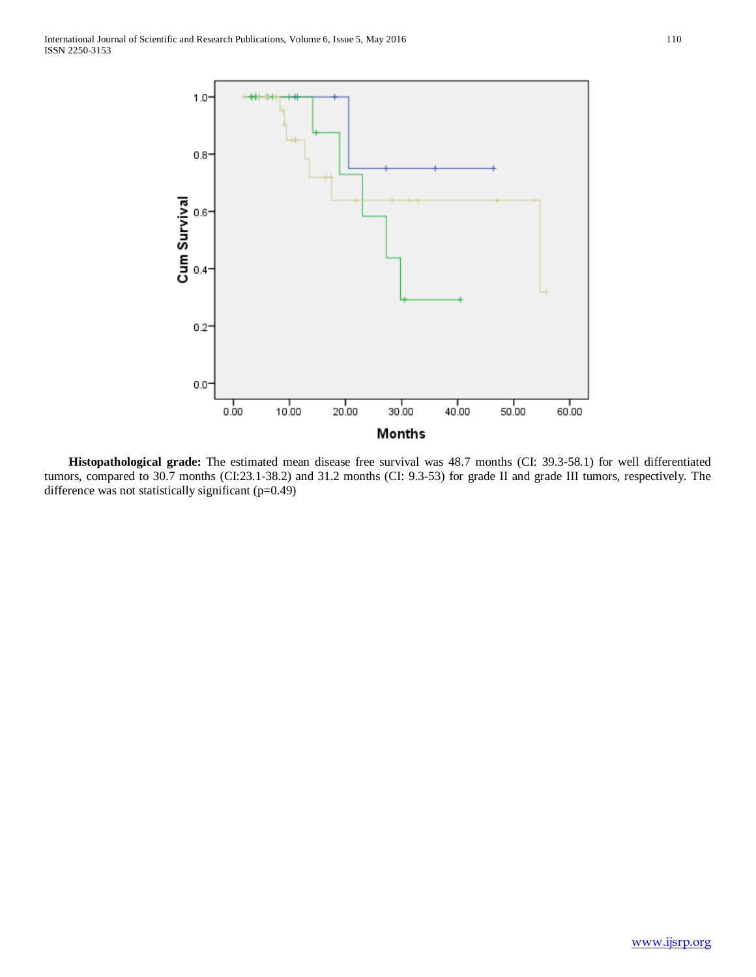

 **Histopathological grade:** The estimated mean disease free survival was 48.7 months (CI: 39.3-58.1) for well differentiated tumors, compared to 30.7 months (CI:23.1-38.2) and 31.2 months (CI: 9.3-53) for grade II and grade III tumors, respectively. The difference was not statistically significant (p=0.49)

[www.ijsrp.org](http://ijsrp.org/)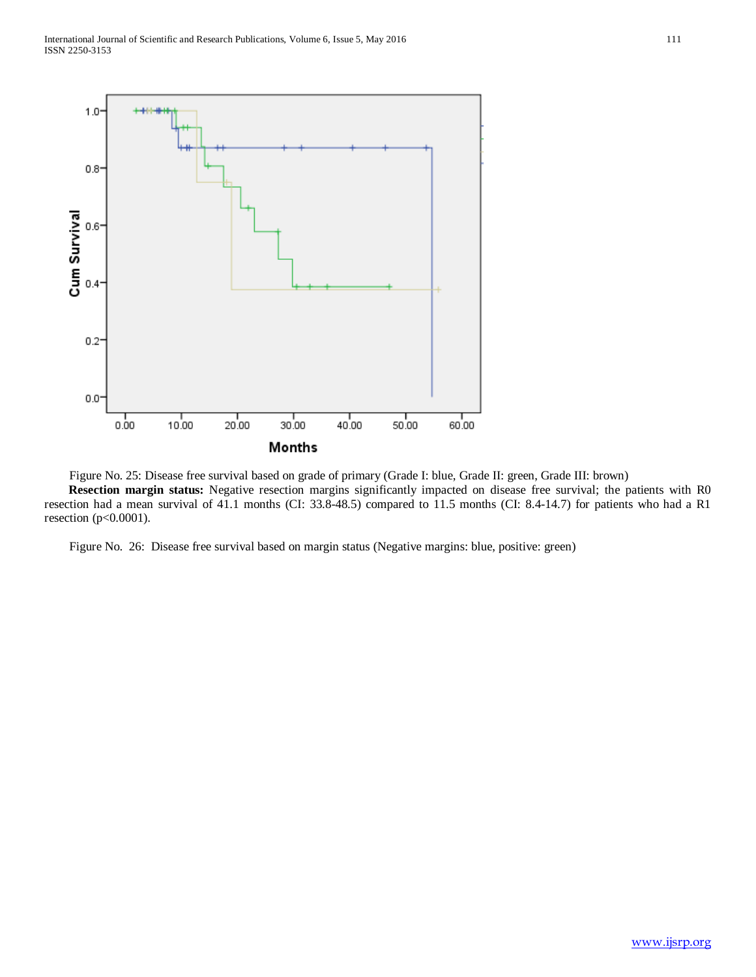

 Figure No. 25: Disease free survival based on grade of primary (Grade I: blue, Grade II: green, Grade III: brown) **Resection margin status:** Negative resection margins significantly impacted on disease free survival; the patients with R0 resection had a mean survival of 41.1 months (CI: 33.8-48.5) compared to 11.5 months (CI: 8.4-14.7) for patients who had a R1 resection (p<0.0001).

Figure No. 26: Disease free survival based on margin status (Negative margins: blue, positive: green)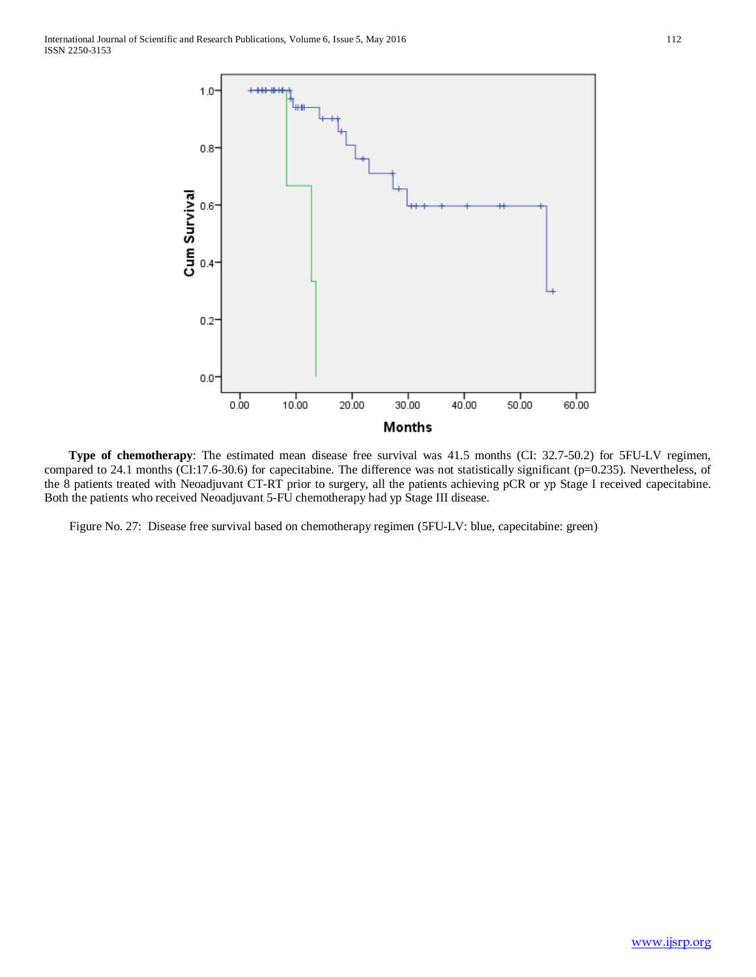

 **Type of chemotherapy**: The estimated mean disease free survival was 41.5 months (CI: 32.7-50.2) for 5FU-LV regimen, compared to 24.1 months (CI:17.6-30.6) for capecitabine. The difference was not statistically significant (p=0.235). Nevertheless, of the 8 patients treated with Neoadjuvant CT-RT prior to surgery, all the patients achieving pCR or yp Stage I received capecitabine. Both the patients who received Neoadjuvant 5-FU chemotherapy had yp Stage III disease.

Figure No. 27: Disease free survival based on chemotherapy regimen (5FU-LV: blue, capecitabine: green)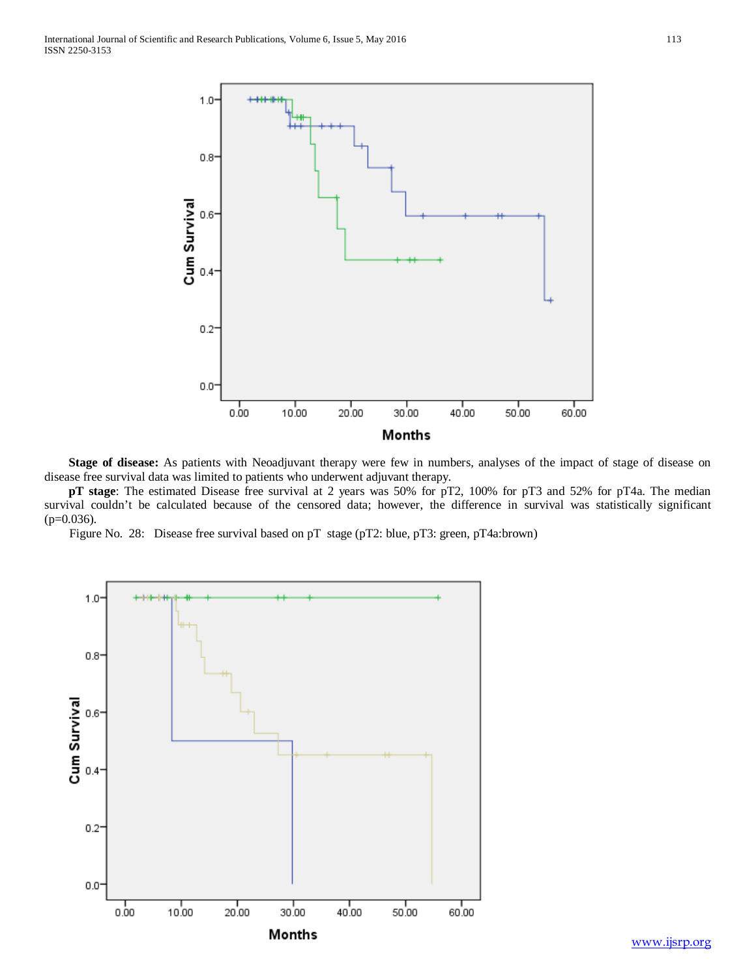

 **Stage of disease:** As patients with Neoadjuvant therapy were few in numbers, analyses of the impact of stage of disease on disease free survival data was limited to patients who underwent adjuvant therapy.

 **pT stage**: The estimated Disease free survival at 2 years was 50% for pT2, 100% for pT3 and 52% for pT4a. The median survival couldn't be calculated because of the censored data; however, the difference in survival was statistically significant  $(p=0.036)$ .

Figure No. 28: Disease free survival based on pT stage (pT2: blue, pT3: green, pT4a:brown)

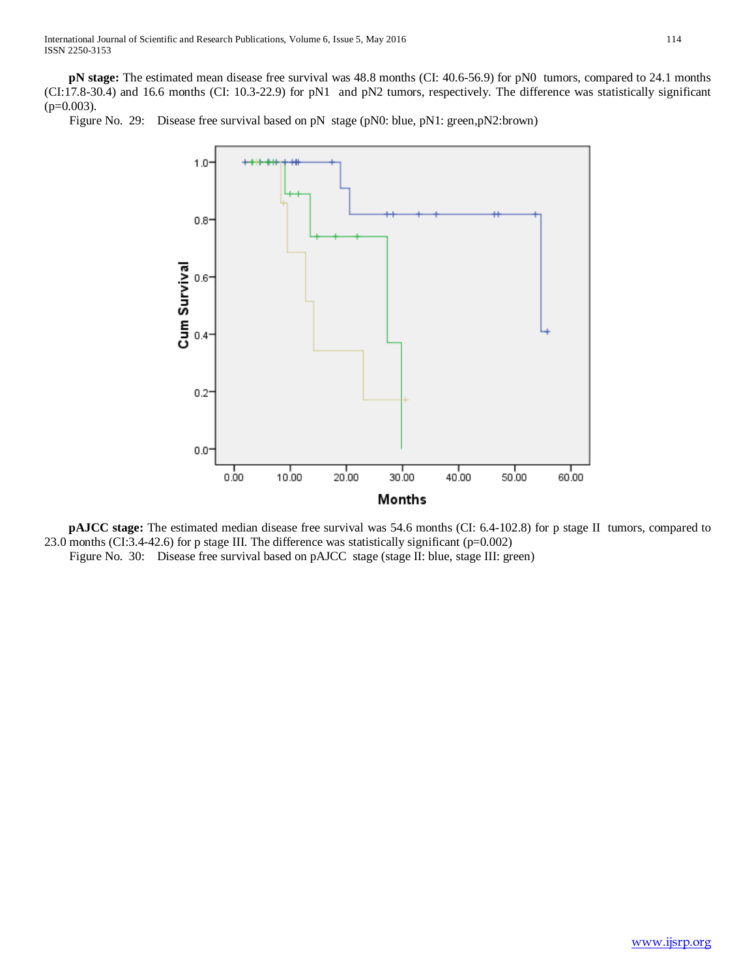**pN stage:** The estimated mean disease free survival was 48.8 months (CI: 40.6-56.9) for pN0 tumors, compared to 24.1 months (CI:17.8-30.4) and 16.6 months (CI: 10.3-22.9) for pN1 and pN2 tumors, respectively. The difference was statistically significant  $(p=0.003)$ .

Figure No. 29: Disease free survival based on pN stage (pN0: blue, pN1: green,pN2:brown)



 **pAJCC stage:** The estimated median disease free survival was 54.6 months (CI: 6.4-102.8) for p stage II tumors, compared to 23.0 months (CI:3.4-42.6) for p stage III. The difference was statistically significant (p=0.002) Figure No. 30: Disease free survival based on pAJCC stage (stage II: blue, stage III: green)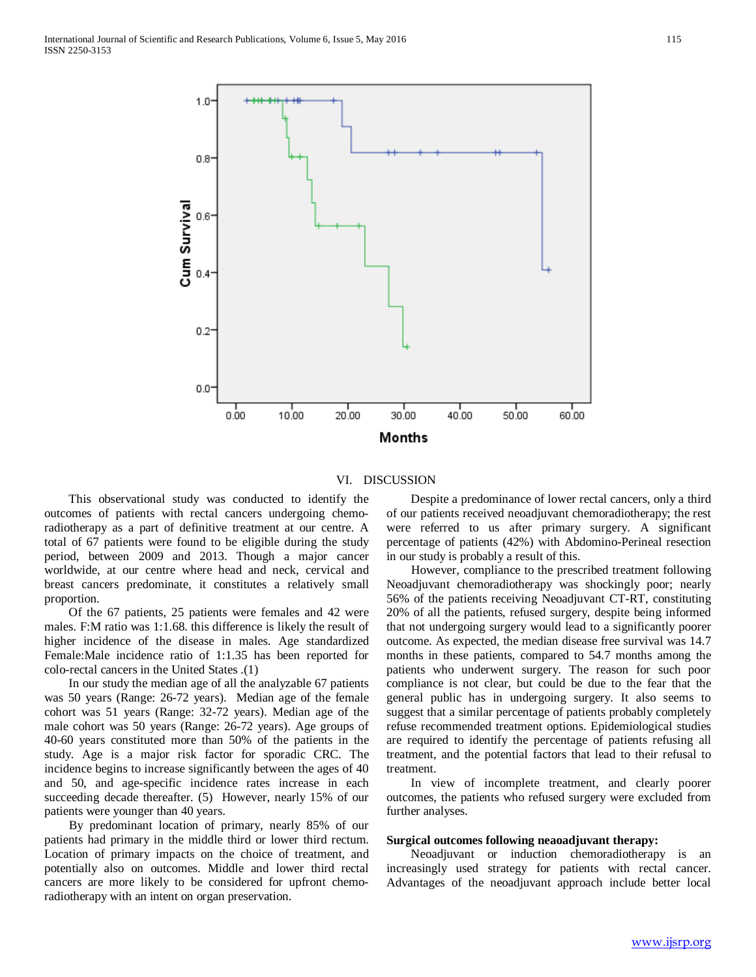

VI. DISCUSSION

 This observational study was conducted to identify the outcomes of patients with rectal cancers undergoing chemoradiotherapy as a part of definitive treatment at our centre. A total of 67 patients were found to be eligible during the study period, between 2009 and 2013. Though a major cancer worldwide, at our centre where head and neck, cervical and breast cancers predominate, it constitutes a relatively small proportion.

 Of the 67 patients, 25 patients were females and 42 were males. F:M ratio was 1:1.68. this difference is likely the result of higher incidence of the disease in males. Age standardized Female:Male incidence ratio of 1:1.35 has been reported for colo-rectal cancers in the United States .(1)

 In our study the median age of all the analyzable 67 patients was 50 years (Range: 26-72 years). Median age of the female cohort was 51 years (Range: 32-72 years). Median age of the male cohort was 50 years (Range: 26-72 years). Age groups of 40-60 years constituted more than 50% of the patients in the study. Age is a major risk factor for sporadic CRC. The incidence begins to increase significantly between the ages of 40 and 50, and age-specific incidence rates increase in each succeeding decade thereafter. (5) However, nearly 15% of our patients were younger than 40 years.

 By predominant location of primary, nearly 85% of our patients had primary in the middle third or lower third rectum. Location of primary impacts on the choice of treatment, and potentially also on outcomes. Middle and lower third rectal cancers are more likely to be considered for upfront chemoradiotherapy with an intent on organ preservation.

 Despite a predominance of lower rectal cancers, only a third of our patients received neoadjuvant chemoradiotherapy; the rest were referred to us after primary surgery. A significant percentage of patients (42%) with Abdomino-Perineal resection in our study is probably a result of this.

 However, compliance to the prescribed treatment following Neoadjuvant chemoradiotherapy was shockingly poor; nearly 56% of the patients receiving Neoadjuvant CT-RT, constituting 20% of all the patients, refused surgery, despite being informed that not undergoing surgery would lead to a significantly poorer outcome. As expected, the median disease free survival was 14.7 months in these patients, compared to 54.7 months among the patients who underwent surgery. The reason for such poor compliance is not clear, but could be due to the fear that the general public has in undergoing surgery. It also seems to suggest that a similar percentage of patients probably completely refuse recommended treatment options. Epidemiological studies are required to identify the percentage of patients refusing all treatment, and the potential factors that lead to their refusal to treatment.

 In view of incomplete treatment, and clearly poorer outcomes, the patients who refused surgery were excluded from further analyses.

#### **Surgical outcomes following neaoadjuvant therapy:**

 Neoadjuvant or induction chemoradiotherapy is an increasingly used strategy for patients with rectal cancer. Advantages of the neoadjuvant approach include better local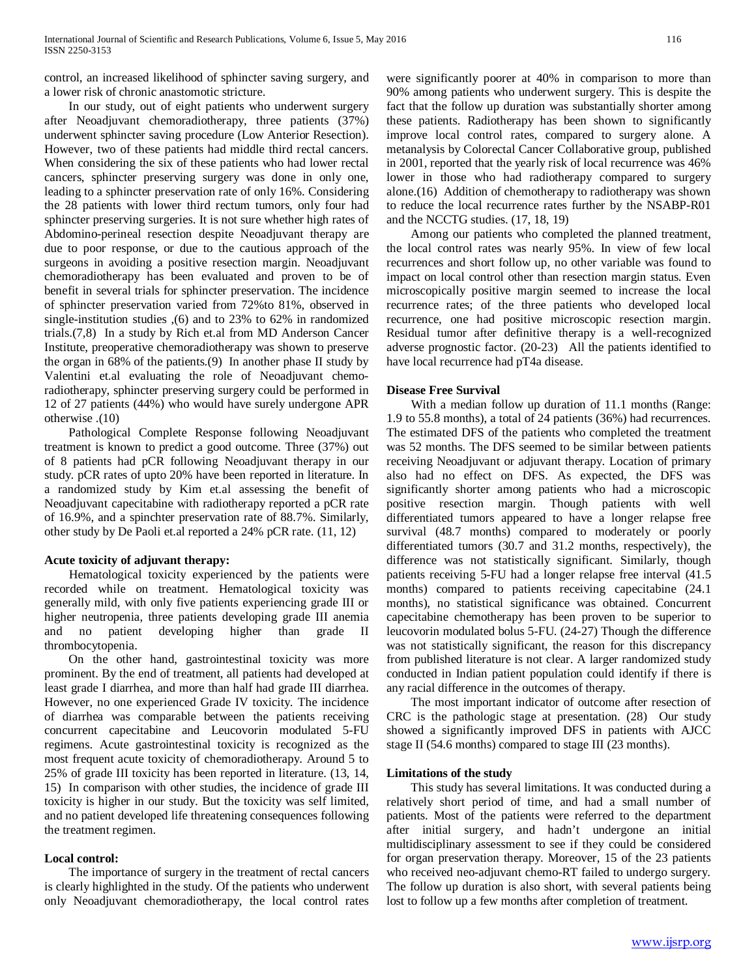control, an increased likelihood of sphincter saving surgery, and a lower risk of chronic anastomotic stricture.

 In our study, out of eight patients who underwent surgery after Neoadjuvant chemoradiotherapy, three patients (37%) underwent sphincter saving procedure (Low Anterior Resection). However, two of these patients had middle third rectal cancers. When considering the six of these patients who had lower rectal cancers, sphincter preserving surgery was done in only one, leading to a sphincter preservation rate of only 16%. Considering the 28 patients with lower third rectum tumors, only four had sphincter preserving surgeries. It is not sure whether high rates of Abdomino-perineal resection despite Neoadjuvant therapy are due to poor response, or due to the cautious approach of the surgeons in avoiding a positive resection margin. Neoadjuvant chemoradiotherapy has been evaluated and proven to be of benefit in several trials for sphincter preservation. The incidence of sphincter preservation varied from 72%to 81%, observed in single-institution studies ,(6) and to 23% to 62% in randomized trials.(7,8) In a study by Rich et.al from MD Anderson Cancer Institute, preoperative chemoradiotherapy was shown to preserve the organ in 68% of the patients.(9) In another phase II study by Valentini et.al evaluating the role of Neoadjuvant chemoradiotherapy, sphincter preserving surgery could be performed in 12 of 27 patients (44%) who would have surely undergone APR otherwise .(10)

 Pathological Complete Response following Neoadjuvant treatment is known to predict a good outcome. Three (37%) out of 8 patients had pCR following Neoadjuvant therapy in our study. pCR rates of upto 20% have been reported in literature. In a randomized study by Kim et.al assessing the benefit of Neoadjuvant capecitabine with radiotherapy reported a pCR rate of 16.9%, and a spinchter preservation rate of 88.7%. Similarly, other study by De Paoli et.al reported a 24% pCR rate. (11, 12)

## **Acute toxicity of adjuvant therapy:**

 Hematological toxicity experienced by the patients were recorded while on treatment. Hematological toxicity was generally mild, with only five patients experiencing grade III or higher neutropenia, three patients developing grade III anemia and no patient developing higher than grade II thrombocytopenia.

 On the other hand, gastrointestinal toxicity was more prominent. By the end of treatment, all patients had developed at least grade I diarrhea, and more than half had grade III diarrhea. However, no one experienced Grade IV toxicity. The incidence of diarrhea was comparable between the patients receiving concurrent capecitabine and Leucovorin modulated 5-FU regimens. Acute gastrointestinal toxicity is recognized as the most frequent acute toxicity of chemoradiotherapy. Around 5 to 25% of grade III toxicity has been reported in literature. (13, 14, 15)In comparison with other studies, the incidence of grade III toxicity is higher in our study. But the toxicity was self limited, and no patient developed life threatening consequences following the treatment regimen.

# **Local control:**

 The importance of surgery in the treatment of rectal cancers is clearly highlighted in the study. Of the patients who underwent only Neoadjuvant chemoradiotherapy, the local control rates

were significantly poorer at 40% in comparison to more than 90% among patients who underwent surgery. This is despite the fact that the follow up duration was substantially shorter among these patients. Radiotherapy has been shown to significantly improve local control rates, compared to surgery alone. A metanalysis by Colorectal Cancer Collaborative group, published in 2001, reported that the yearly risk of local recurrence was 46% lower in those who had radiotherapy compared to surgery alone.(16) Addition of chemotherapy to radiotherapy was shown to reduce the local recurrence rates further by the NSABP-R01 and the NCCTG studies. (17, 18, 19)

 Among our patients who completed the planned treatment, the local control rates was nearly 95%. In view of few local recurrences and short follow up, no other variable was found to impact on local control other than resection margin status. Even microscopically positive margin seemed to increase the local recurrence rates; of the three patients who developed local recurrence, one had positive microscopic resection margin. Residual tumor after definitive therapy is a well-recognized adverse prognostic factor. (20-23) All the patients identified to have local recurrence had pT4a disease.

## **Disease Free Survival**

 With a median follow up duration of 11.1 months (Range: 1.9 to 55.8 months), a total of 24 patients (36%) had recurrences. The estimated DFS of the patients who completed the treatment was 52 months. The DFS seemed to be similar between patients receiving Neoadjuvant or adjuvant therapy. Location of primary also had no effect on DFS. As expected, the DFS was significantly shorter among patients who had a microscopic positive resection margin. Though patients with well differentiated tumors appeared to have a longer relapse free survival (48.7 months) compared to moderately or poorly differentiated tumors (30.7 and 31.2 months, respectively), the difference was not statistically significant. Similarly, though patients receiving 5-FU had a longer relapse free interval (41.5 months) compared to patients receiving capecitabine (24.1 months), no statistical significance was obtained. Concurrent capecitabine chemotherapy has been proven to be superior to leucovorin modulated bolus 5-FU. (24-27) Though the difference was not statistically significant, the reason for this discrepancy from published literature is not clear. A larger randomized study conducted in Indian patient population could identify if there is any racial difference in the outcomes of therapy.

 The most important indicator of outcome after resection of CRC is the pathologic stage at presentation. (28) Our study showed a significantly improved DFS in patients with AJCC stage II (54.6 months) compared to stage III (23 months).

## **Limitations of the study**

 This study has several limitations. It was conducted during a relatively short period of time, and had a small number of patients. Most of the patients were referred to the department after initial surgery, and hadn't undergone an initial multidisciplinary assessment to see if they could be considered for organ preservation therapy. Moreover, 15 of the 23 patients who received neo-adjuvant chemo-RT failed to undergo surgery. The follow up duration is also short, with several patients being lost to follow up a few months after completion of treatment.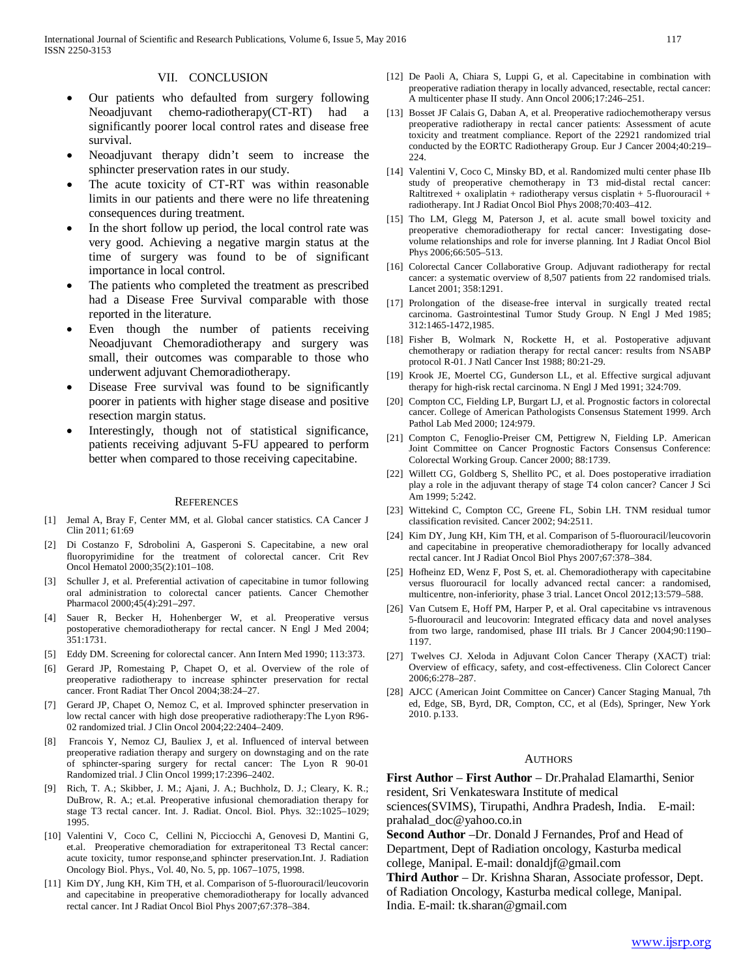#### VII. CONCLUSION

- Our patients who defaulted from surgery following Neoadjuvant chemo-radiotherapy(CT-RT) had a significantly poorer local control rates and disease free survival.
- Neoadjuvant therapy didn't seem to increase the sphincter preservation rates in our study.
- The acute toxicity of CT-RT was within reasonable limits in our patients and there were no life threatening consequences during treatment.
- In the short follow up period, the local control rate was very good. Achieving a negative margin status at the time of surgery was found to be of significant importance in local control.
- The patients who completed the treatment as prescribed had a Disease Free Survival comparable with those reported in the literature.
- Even though the number of patients receiving Neoadjuvant Chemoradiotherapy and surgery was small, their outcomes was comparable to those who underwent adjuvant Chemoradiotherapy.
- Disease Free survival was found to be significantly poorer in patients with higher stage disease and positive resection margin status.
- Interestingly, though not of statistical significance, patients receiving adjuvant 5-FU appeared to perform better when compared to those receiving capecitabine.

#### **REFERENCES**

- [1] Jemal A, Bray F, Center MM, et al. Global cancer statistics. CA Cancer J Clin 2011; 61:69
- [2] Di Costanzo F, Sdrobolini A, Gasperoni S. Capecitabine, a new oral fluoropyrimidine for the treatment of colorectal cancer. Crit Rev Oncol Hematol 2000;35(2):101–108.
- [3] Schuller J, et al. Preferential activation of capecitabine in tumor following oral administration to colorectal cancer patients. Cancer Chemother Pharmacol 2000;45(4):291–297.
- [4] Sauer R, Becker H, Hohenberger W, et al. Preoperative versus postoperative chemoradiotherapy for rectal cancer. N Engl J Med 2004; 351:1731.
- [5] Eddy DM. Screening for colorectal cancer. Ann Intern Med 1990; 113:373.
- [6] Gerard JP, Romestaing P, Chapet O, et al. Overview of the role of preoperative radiotherapy to increase sphincter preservation for rectal cancer. Front Radiat Ther Oncol 2004;38:24–27.
- [7] Gerard JP, Chapet O, Nemoz C, et al. Improved sphincter preservation in low rectal cancer with high dose preoperative radiotherapy:The Lyon R96- 02 randomized trial. J Clin Oncol 2004;22:2404–2409.
- Francois Y, Nemoz CJ, Bauliex J, et al. Influenced of interval between preoperative radiation therapy and surgery on downstaging and on the rate of sphincter-sparing surgery for rectal cancer: The Lyon R 90-01 Randomized trial. J Clin Oncol 1999;17:2396–2402.
- [9] Rich, T. A.; Skibber, J. M.; Ajani, J. A.; Buchholz, D. J.; Cleary, K. R.; DuBrow, R. A.; et.al. Preoperative infusional chemoradiation therapy for stage T3 rectal cancer. Int. J. Radiat. Oncol. Biol. Phys. 32::1025–1029; 1995.
- [10] Valentini V, Coco C, Cellini N, Picciocchi A, Genovesi D, Mantini G, et.al. Preoperative chemoradiation for extraperitoneal T3 Rectal cancer: acute toxicity, tumor response,and sphincter preservation.Int. J. Radiation Oncology Biol. Phys., Vol. 40, No. 5, pp. 1067–1075, 1998.
- [11] Kim DY, Jung KH, Kim TH, et al. Comparison of 5-fluorouracil/leucovorin and capecitabine in preoperative chemoradiotherapy for locally advanced rectal cancer. Int J Radiat Oncol Biol Phys 2007;67:378–384.
- [12] De Paoli A, Chiara S, Luppi G, et al. Capecitabine in combination with preoperative radiation therapy in locally advanced, resectable, rectal cancer: A multicenter phase II study. Ann Oncol 2006;17:246–251.
- [13] Bosset JF Calais G, Daban A, et al. Preoperative radiochemotherapy versus preoperative radiotherapy in rectal cancer patients: Assessment of acute toxicity and treatment compliance. Report of the 22921 randomized trial conducted by the EORTC Radiotherapy Group. Eur J Cancer 2004;40:219– 224.
- [14] Valentini V, Coco C, Minsky BD, et al. Randomized multi center phase IIb study of preoperative chemotherapy in T3 mid-distal rectal cancer: Raltitrexed + oxaliplatin + radiotherapy versus cisplatin + 5-fluorouracil + radiotherapy. Int J Radiat Oncol Biol Phys 2008;70:403–412.
- [15] Tho LM, Glegg M, Paterson J, et al. acute small bowel toxicity and preoperative chemoradiotherapy for rectal cancer: Investigating dosevolume relationships and role for inverse planning. Int J Radiat Oncol Biol Phys 2006;66:505–513.
- [16] Colorectal Cancer Collaborative Group. Adjuvant radiotherapy for rectal cancer: a systematic overview of 8,507 patients from 22 randomised trials. Lancet 2001; 358:1291.
- [17] Prolongation of the disease-free interval in surgically treated rectal carcinoma. Gastrointestinal Tumor Study Group. N Engl J Med 1985; 312:1465-1472,1985.
- [18] Fisher B, Wolmark N, Rockette H, et al. Postoperative adjuvant chemotherapy or radiation therapy for rectal cancer: results from NSABP protocol R-01. J Natl Cancer Inst 1988; 80:21-29.
- [19] Krook JE, Moertel CG, Gunderson LL, et al. Effective surgical adjuvant therapy for high-risk rectal carcinoma. N Engl J Med 1991; 324:709.
- [20] Compton CC, Fielding LP, Burgart LJ, et al. Prognostic factors in colorectal cancer. College of American Pathologists Consensus Statement 1999. Arch Pathol Lab Med 2000; 124:979.
- [21] Compton C, Fenoglio-Preiser CM, Pettigrew N, Fielding LP. American Joint Committee on Cancer Prognostic Factors Consensus Conference: Colorectal Working Group. Cancer 2000; 88:1739.
- [22] Willett CG, Goldberg S, Shellito PC, et al. Does postoperative irradiation play a role in the adjuvant therapy of stage T4 colon cancer? Cancer J Sci Am 1999; 5:242.
- [23] Wittekind C, Compton CC, Greene FL, Sobin LH. TNM residual tumor classification revisited. Cancer 2002; 94:2511.
- [24] Kim DY, Jung KH, Kim TH, et al. Comparison of 5-fluorouracil/leucovorin and capecitabine in preoperative chemoradiotherapy for locally advanced rectal cancer. Int J Radiat Oncol Biol Phys 2007;67:378–384.
- [25] Hofheinz ED, Wenz F, Post S, et. al. Chemoradiotherapy with capecitabine versus fluorouracil for locally advanced rectal cancer: a randomised, multicentre, non-inferiority, phase 3 trial. Lancet Oncol 2012;13:579–588.
- [26] Van Cutsem E, Hoff PM, Harper P, et al. Oral capecitabine vs intravenous 5-fluorouracil and leucovorin: Integrated efficacy data and novel analyses from two large, randomised, phase III trials. Br J Cancer 2004;90:1190– 1197.
- [27] Twelves CJ. Xeloda in Adjuvant Colon Cancer Therapy (XACT) trial: Overview of efficacy, safety, and cost-effectiveness. Clin Colorect Cancer 2006;6:278–287.
- [28] AJCC (American Joint Committee on Cancer) Cancer Staging Manual, 7th ed, Edge, SB, Byrd, DR, Compton, CC, et al (Eds), Springer, New York 2010. p.133.

#### **AUTHORS**

**First Author** – **First Author** – Dr.Prahalad Elamarthi, Senior resident, Sri Venkateswara Institute of medical

sciences(SVIMS), Tirupathi, Andhra Pradesh, India. E-mail: prahalad\_doc@yahoo.co.in

**Second Author** –Dr. Donald J Fernandes, Prof and Head of Department, Dept of Radiation oncology, Kasturba medical college, Manipal. E-mail: donaldjf@gmail.com

**Third Author** – Dr. Krishna Sharan, Associate professor, Dept. of Radiation Oncology, Kasturba medical college, Manipal. India. E-mail: tk.sharan@gmail.com